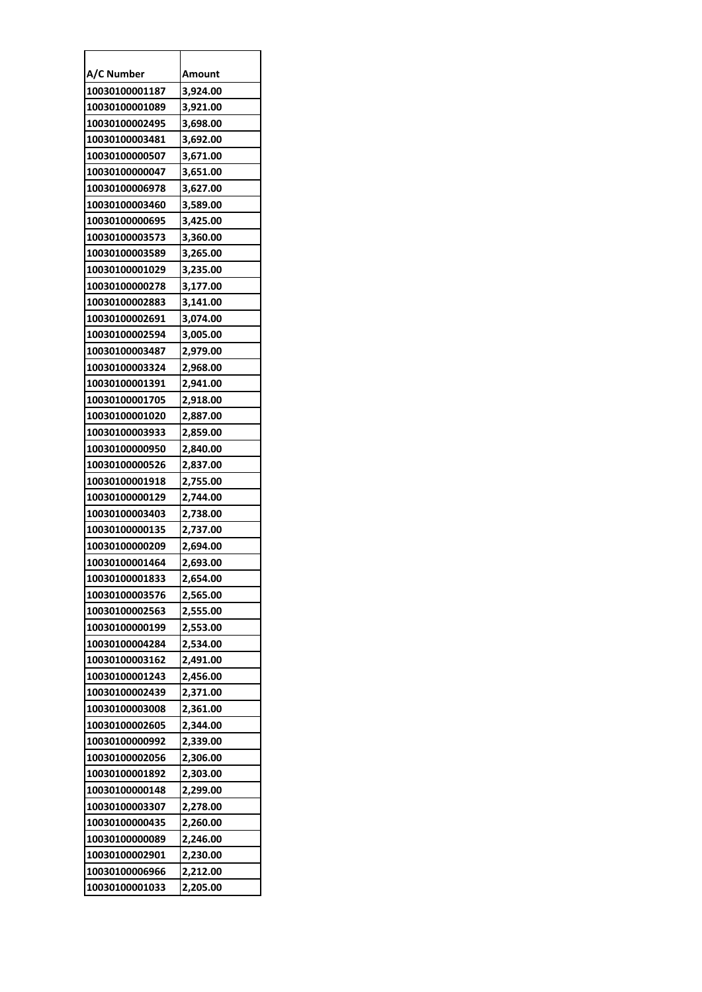| A/C Number     | Amount   |
|----------------|----------|
| 10030100001187 | 3,924.00 |
| 10030100001089 | 3,921.00 |
| 10030100002495 | 3,698.00 |
| 10030100003481 | 3,692.00 |
| 10030100000507 | 3,671.00 |
| 10030100000047 | 3,651.00 |
| 10030100006978 | 3,627.00 |
| 10030100003460 | 3,589.00 |
| 10030100000695 | 3,425.00 |
| 10030100003573 | 3,360.00 |
| 10030100003589 | 3,265.00 |
| 10030100001029 | 3,235.00 |
| 10030100000278 | 3,177.00 |
| 10030100002883 | 3,141.00 |
| 10030100002691 | 3,074.00 |
| 10030100002594 | 3,005.00 |
| 10030100003487 | 2,979.00 |
| 10030100003324 | 2,968.00 |
| 10030100001391 | 2,941.00 |
| 10030100001705 | 2,918.00 |
| 10030100001020 | 2,887.00 |
| 10030100003933 | 2,859.00 |
| 10030100000950 | 2,840.00 |
| 10030100000526 | 2,837.00 |
| 10030100001918 | 2,755.00 |
| 10030100000129 | 2,744.00 |
| 10030100003403 | 2,738.00 |
| 10030100000135 | 2,737.00 |
| 10030100000209 | 2,694.00 |
| 10030100001464 | 2,693.00 |
| 10030100001833 | 2,654.00 |
| 10030100003576 | 2,565.00 |
| 10030100002563 | 2,555.00 |
| 10030100000199 | 2,553.00 |
| 10030100004284 | 2,534.00 |
| 10030100003162 | 2,491.00 |
| 10030100001243 | 2,456.00 |
| 10030100002439 | 2,371.00 |
| 10030100003008 | 2,361.00 |
| 10030100002605 | 2,344.00 |
| 10030100000992 | 2,339.00 |
| 10030100002056 | 2,306.00 |
| 10030100001892 | 2,303.00 |
| 10030100000148 | 2,299.00 |
| 10030100003307 | 2,278.00 |
| 10030100000435 | 2,260.00 |
| 10030100000089 | 2,246.00 |
| 10030100002901 | 2,230.00 |
| 10030100006966 | 2,212.00 |
| 10030100001033 | 2,205.00 |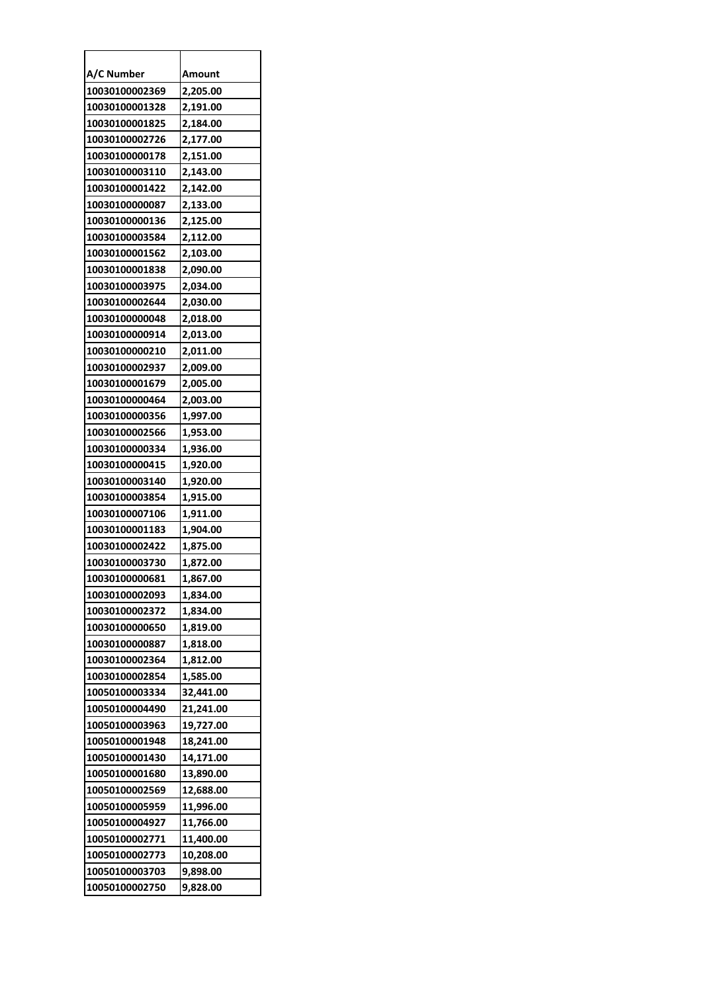| A/C Number     | Amount    |
|----------------|-----------|
| 10030100002369 | 2,205.00  |
| 10030100001328 | 2,191.00  |
| 10030100001825 | 2,184.00  |
| 10030100002726 | 2,177.00  |
| 10030100000178 | 2,151.00  |
| 10030100003110 | 2,143.00  |
| 10030100001422 | 2,142.00  |
| 10030100000087 | 2,133.00  |
| 10030100000136 | 2,125.00  |
| 10030100003584 | 2,112.00  |
| 10030100001562 | 2,103.00  |
| 10030100001838 | 2,090.00  |
| 10030100003975 | 2,034.00  |
| 10030100002644 | 2,030.00  |
| 10030100000048 | 2,018.00  |
| 10030100000914 | 2,013.00  |
| 10030100000210 | 2,011.00  |
| 10030100002937 | 2,009.00  |
| 10030100001679 | 2,005.00  |
| 10030100000464 | 2,003.00  |
| 10030100000356 | 1,997.00  |
| 10030100002566 | 1,953.00  |
| 10030100000334 | 1,936.00  |
| 10030100000415 | 1,920.00  |
| 10030100003140 | 1,920.00  |
| 10030100003854 | 1,915.00  |
| 10030100007106 | 1,911.00  |
| 10030100001183 | 1,904.00  |
| 10030100002422 | 1,875.00  |
| 10030100003730 | 1,872.00  |
| 10030100000681 | 1.867.00  |
| 10030100002093 | 1,834.00  |
| 10030100002372 | 1,834.00  |
| 10030100000650 | 1,819.00  |
| 10030100000887 | 1,818.00  |
| 10030100002364 | 1,812.00  |
| 10030100002854 | 1,585.00  |
| 10050100003334 | 32,441.00 |
| 10050100004490 | 21,241.00 |
| 10050100003963 | 19,727.00 |
| 10050100001948 | 18,241.00 |
| 10050100001430 | 14,171.00 |
| 10050100001680 | 13,890.00 |
| 10050100002569 | 12,688.00 |
| 10050100005959 | 11,996.00 |
| 10050100004927 | 11,766.00 |
| 10050100002771 | 11,400.00 |
| 10050100002773 | 10,208.00 |
| 10050100003703 | 9,898.00  |
| 10050100002750 | 9,828.00  |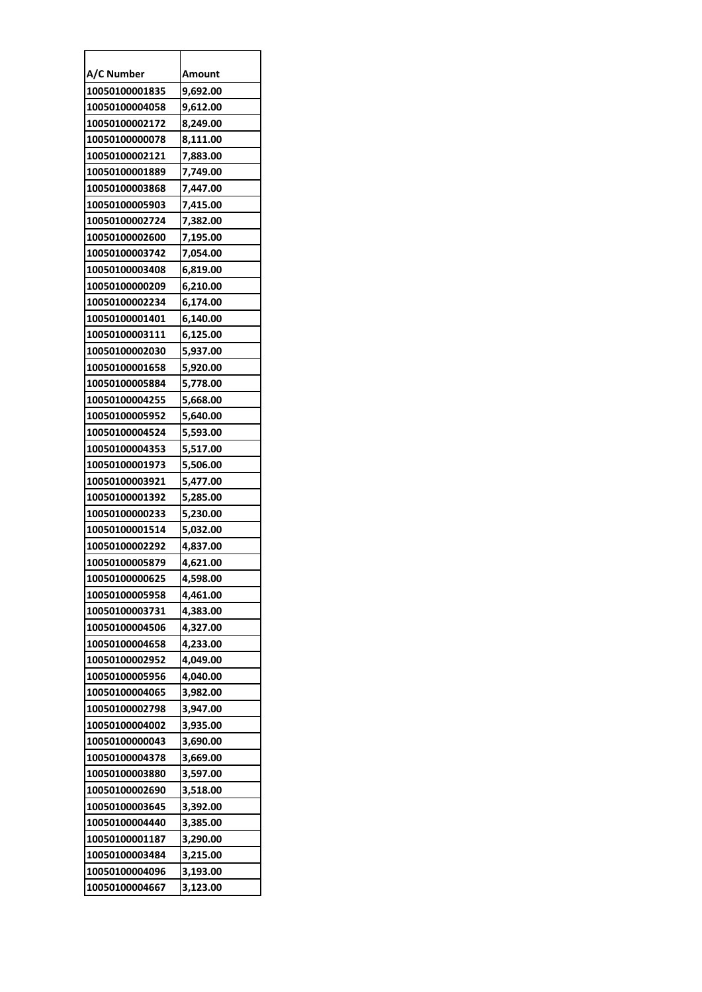| A/C Number     | Amount   |
|----------------|----------|
| 10050100001835 | 9,692.00 |
| 10050100004058 | 9,612.00 |
| 10050100002172 | 8,249.00 |
| 10050100000078 | 8,111.00 |
| 10050100002121 | 7,883.00 |
| 10050100001889 | 7,749.00 |
| 10050100003868 | 7,447.00 |
| 10050100005903 | 7,415.00 |
| 10050100002724 | 7,382.00 |
| 10050100002600 | 7,195.00 |
| 10050100003742 | 7,054.00 |
| 10050100003408 | 6,819.00 |
| 10050100000209 | 6,210.00 |
| 10050100002234 | 6,174.00 |
| 10050100001401 | 6,140.00 |
| 10050100003111 | 6,125.00 |
| 10050100002030 | 5,937.00 |
| 10050100001658 | 5,920.00 |
| 10050100005884 | 5,778.00 |
| 10050100004255 | 5,668.00 |
| 10050100005952 | 5,640.00 |
| 10050100004524 | 5,593.00 |
| 10050100004353 | 5,517.00 |
| 10050100001973 | 5,506.00 |
| 10050100003921 | 5,477.00 |
| 10050100001392 | 5,285.00 |
| 10050100000233 | 5,230.00 |
| 10050100001514 | 5,032.00 |
| 10050100002292 | 4,837.00 |
| 10050100005879 | 4,621.00 |
| 10050100000625 | 4.598.00 |
| 10050100005958 | 4,461.00 |
| 10050100003731 | 4,383.00 |
| 10050100004506 | 4,327.00 |
| 10050100004658 | 4,233.00 |
| 10050100002952 | 4,049.00 |
| 10050100005956 | 4,040.00 |
| 10050100004065 | 3,982.00 |
| 10050100002798 | 3,947.00 |
| 10050100004002 | 3,935.00 |
| 10050100000043 | 3,690.00 |
| 10050100004378 | 3,669.00 |
| 10050100003880 | 3,597.00 |
| 10050100002690 | 3,518.00 |
| 10050100003645 | 3,392.00 |
| 10050100004440 | 3,385.00 |
| 10050100001187 | 3,290.00 |
| 10050100003484 | 3,215.00 |
| 10050100004096 | 3,193.00 |
| 10050100004667 | 3,123.00 |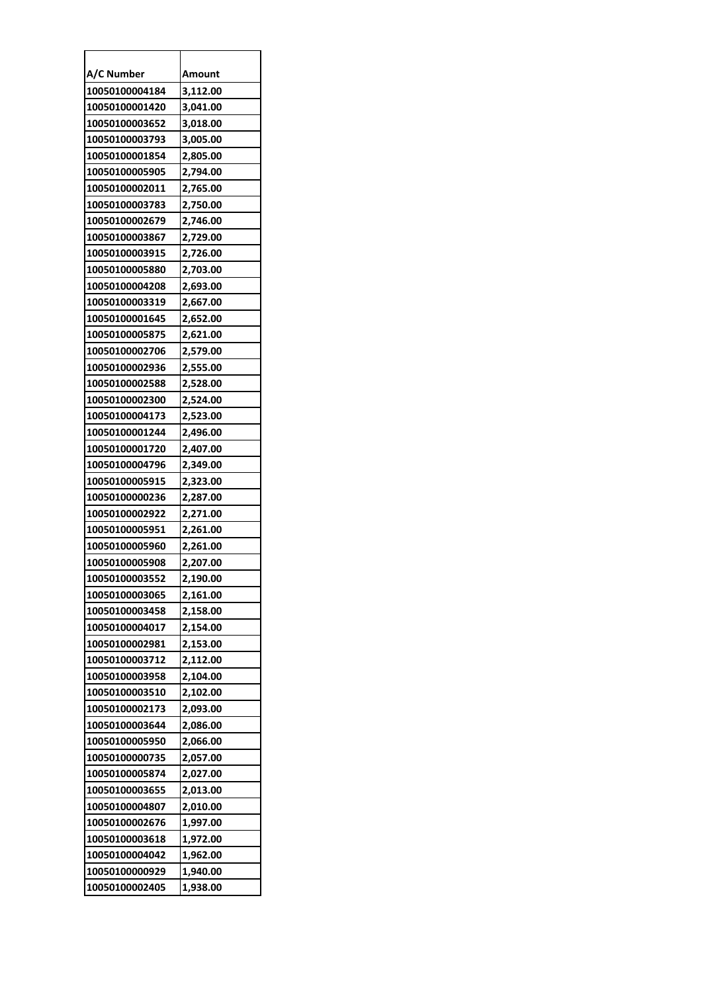| A/C Number     | Amount   |
|----------------|----------|
| 10050100004184 | 3,112.00 |
| 10050100001420 | 3,041.00 |
| 10050100003652 | 3,018.00 |
| 10050100003793 | 3,005.00 |
| 10050100001854 | 2,805.00 |
| 10050100005905 | 2,794.00 |
| 10050100002011 | 2,765.00 |
| 10050100003783 | 2,750.00 |
| 10050100002679 | 2,746.00 |
| 10050100003867 | 2,729.00 |
| 10050100003915 | 2,726.00 |
| 10050100005880 | 2,703.00 |
| 10050100004208 | 2,693.00 |
| 10050100003319 | 2,667.00 |
| 10050100001645 | 2,652.00 |
| 10050100005875 | 2,621.00 |
| 10050100002706 | 2,579.00 |
| 10050100002936 | 2,555.00 |
| 10050100002588 | 2,528.00 |
| 10050100002300 | 2,524.00 |
| 10050100004173 | 2,523.00 |
| 10050100001244 | 2,496.00 |
| 10050100001720 | 2,407.00 |
| 10050100004796 | 2,349.00 |
| 10050100005915 | 2,323.00 |
| 10050100000236 | 2,287.00 |
| 10050100002922 | 2,271.00 |
| 10050100005951 | 2,261.00 |
| 10050100005960 | 2,261.00 |
| 10050100005908 | 2,207.00 |
| 10050100003552 | 2,190.00 |
| 10050100003065 | 2,161.00 |
| 10050100003458 | 2,158.00 |
| 10050100004017 | 2,154.00 |
| 10050100002981 | 2,153.00 |
| 10050100003712 | 2,112.00 |
| 10050100003958 | 2,104.00 |
| 10050100003510 | 2,102.00 |
| 10050100002173 | 2,093.00 |
| 10050100003644 | 2,086.00 |
| 10050100005950 | 2,066.00 |
| 10050100000735 | 2,057.00 |
| 10050100005874 | 2,027.00 |
| 10050100003655 | 2,013.00 |
| 10050100004807 | 2,010.00 |
| 10050100002676 | 1,997.00 |
| 10050100003618 | 1,972.00 |
| 10050100004042 | 1,962.00 |
| 10050100000929 | 1,940.00 |
| 10050100002405 | 1,938.00 |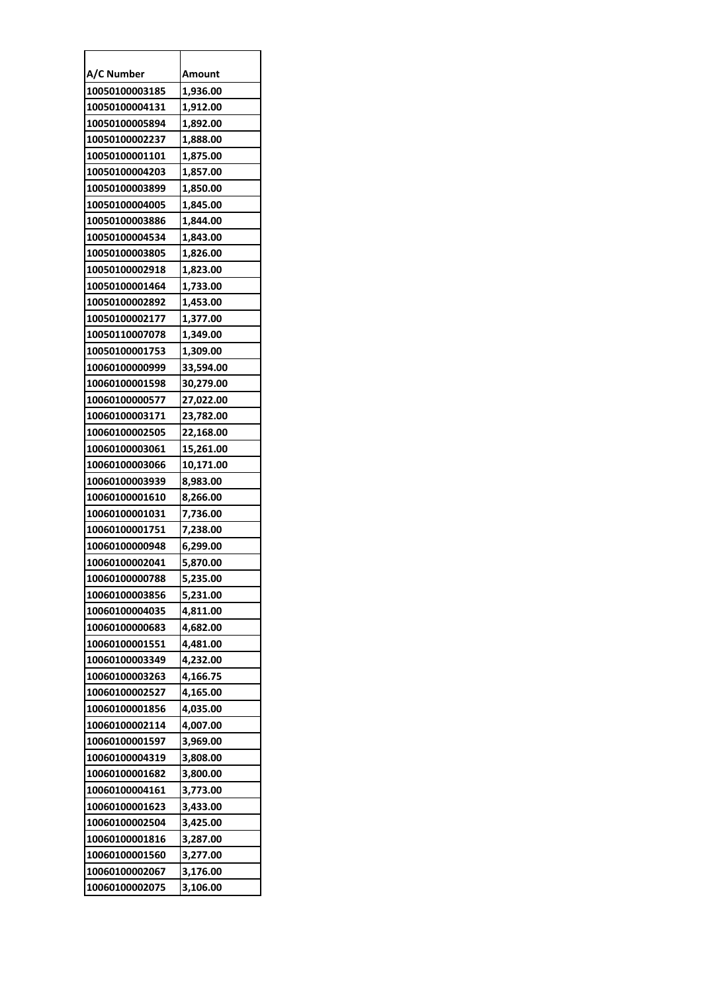| A/C Number     | Amount    |
|----------------|-----------|
| 10050100003185 | 1,936.00  |
| 10050100004131 | 1,912.00  |
| 10050100005894 | 1,892.00  |
| 10050100002237 | 1,888.00  |
| 10050100001101 | 1,875.00  |
| 10050100004203 | 1,857.00  |
| 10050100003899 | 1,850.00  |
| 10050100004005 | 1,845.00  |
| 10050100003886 | 1,844.00  |
| 10050100004534 | 1,843.00  |
| 10050100003805 | 1,826.00  |
| 10050100002918 | 1,823.00  |
| 10050100001464 | 1,733.00  |
| 10050100002892 | 1,453.00  |
| 10050100002177 | 1,377.00  |
| 10050110007078 | 1,349.00  |
| 10050100001753 | 1,309.00  |
| 10060100000999 | 33,594.00 |
| 10060100001598 | 30,279.00 |
| 10060100000577 | 27,022.00 |
| 10060100003171 | 23,782.00 |
| 10060100002505 | 22,168.00 |
| 10060100003061 | 15,261.00 |
| 10060100003066 | 10,171.00 |
| 10060100003939 | 8,983.00  |
| 10060100001610 | 8,266.00  |
| 10060100001031 | 7,736.00  |
| 10060100001751 | 7,238.00  |
| 10060100000948 | 6,299.00  |
| 10060100002041 | 5,870.00  |
| 10060100000788 | 5,235.00  |
| 10060100003856 | 5,231.00  |
| 10060100004035 | 4,811.00  |
| 10060100000683 | 4,682.00  |
| 10060100001551 | 4,481.00  |
| 10060100003349 | 4,232.00  |
| 10060100003263 | 4,166.75  |
| 10060100002527 | 4,165.00  |
| 10060100001856 | 4,035.00  |
| 10060100002114 | 4,007.00  |
| 10060100001597 | 3,969.00  |
| 10060100004319 | 3,808.00  |
| 10060100001682 | 3,800.00  |
| 10060100004161 | 3,773.00  |
| 10060100001623 | 3,433.00  |
| 10060100002504 | 3,425.00  |
| 10060100001816 | 3,287.00  |
| 10060100001560 | 3,277.00  |
| 10060100002067 | 3,176.00  |
| 10060100002075 | 3,106.00  |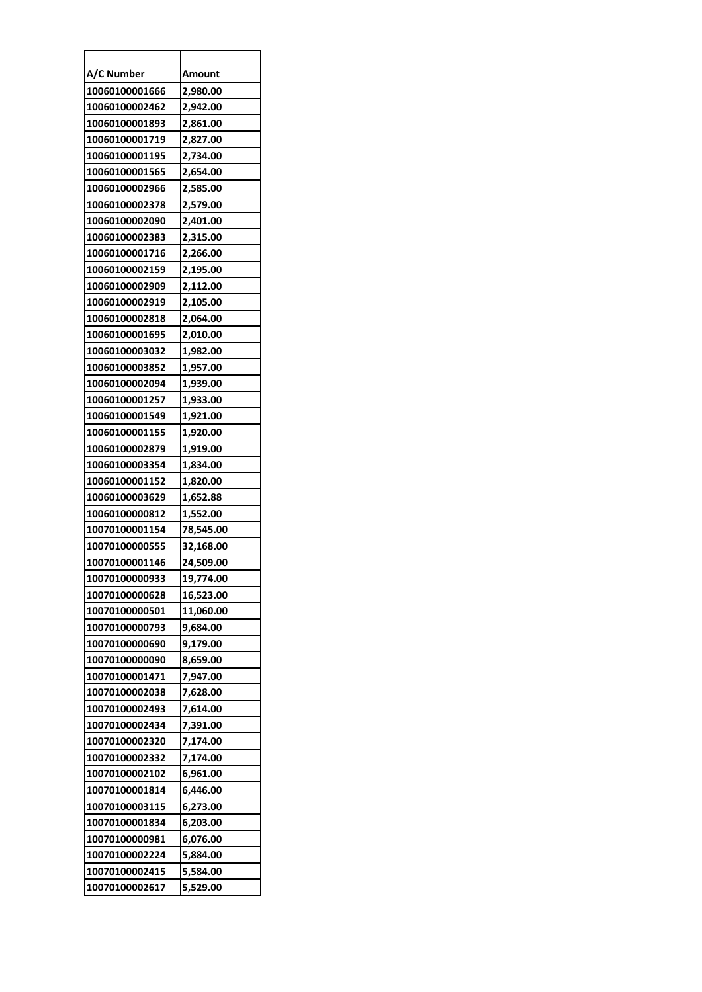| A/C Number     | Amount    |
|----------------|-----------|
| 10060100001666 | 2,980.00  |
| 10060100002462 | 2,942.00  |
| 10060100001893 | 2,861.00  |
| 10060100001719 | 2,827.00  |
| 10060100001195 | 2,734.00  |
| 10060100001565 | 2,654.00  |
| 10060100002966 | 2,585.00  |
| 10060100002378 | 2,579.00  |
| 10060100002090 | 2,401.00  |
| 10060100002383 | 2,315.00  |
| 10060100001716 | 2,266.00  |
| 10060100002159 | 2,195.00  |
| 10060100002909 | 2,112.00  |
| 10060100002919 | 2,105.00  |
| 10060100002818 | 2,064.00  |
| 10060100001695 | 2,010.00  |
| 10060100003032 | 1,982.00  |
| 10060100003852 | 1,957.00  |
| 10060100002094 | 1,939.00  |
| 10060100001257 | 1,933.00  |
| 10060100001549 | 1,921.00  |
| 10060100001155 | 1,920.00  |
| 10060100002879 | 1,919.00  |
| 10060100003354 | 1,834.00  |
| 10060100001152 | 1,820.00  |
| 10060100003629 | 1,652.88  |
| 10060100000812 | 1,552.00  |
| 10070100001154 | 78,545.00 |
| 10070100000555 | 32,168.00 |
| 10070100001146 | 24,509.00 |
| 10070100000933 | 19.774.00 |
| 10070100000628 | 16,523.00 |
| 10070100000501 | 11,060.00 |
| 10070100000793 | 9,684.00  |
| 10070100000690 | 9,179.00  |
| 10070100000090 | 8,659.00  |
| 10070100001471 | 7,947.00  |
| 10070100002038 | 7,628.00  |
| 10070100002493 | 7,614.00  |
| 10070100002434 | 7,391.00  |
| 10070100002320 | 7,174.00  |
| 10070100002332 | 7,174.00  |
| 10070100002102 | 6,961.00  |
| 10070100001814 | 6,446.00  |
| 10070100003115 | 6,273.00  |
| 10070100001834 | 6,203.00  |
| 10070100000981 | 6,076.00  |
| 10070100002224 | 5,884.00  |
| 10070100002415 | 5,584.00  |
| 10070100002617 | 5,529.00  |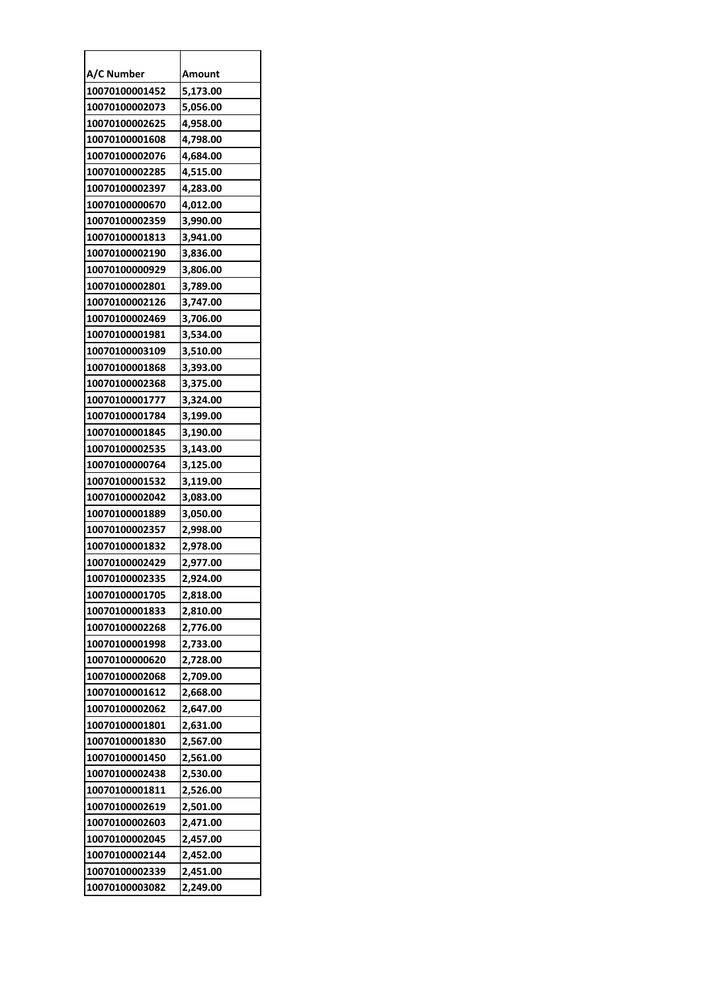| A/C Number     | Amount   |
|----------------|----------|
| 10070100001452 | 5,173.00 |
| 10070100002073 | 5,056.00 |
| 10070100002625 | 4,958.00 |
| 10070100001608 | 4,798.00 |
| 10070100002076 | 4,684.00 |
| 10070100002285 | 4,515.00 |
| 10070100002397 | 4,283.00 |
| 10070100000670 | 4,012.00 |
| 10070100002359 | 3,990.00 |
| 10070100001813 | 3,941.00 |
| 10070100002190 | 3,836.00 |
| 10070100000929 | 3,806.00 |
| 10070100002801 | 3,789.00 |
| 10070100002126 | 3,747.00 |
| 10070100002469 | 3,706.00 |
| 10070100001981 | 3,534.00 |
| 10070100003109 | 3,510.00 |
| 10070100001868 | 3,393.00 |
| 10070100002368 | 3,375.00 |
| 10070100001777 | 3,324.00 |
| 10070100001784 | 3,199.00 |
| 10070100001845 | 3,190.00 |
| 10070100002535 | 3,143.00 |
| 10070100000764 | 3,125.00 |
| 10070100001532 | 3,119.00 |
| 10070100002042 | 3,083.00 |
| 10070100001889 | 3,050.00 |
| 10070100002357 | 2,998.00 |
| 10070100001832 | 2,978.00 |
| 10070100002429 | 2,977.00 |
| 10070100002335 | 2.924.00 |
| 10070100001705 | 2,818.00 |
| 10070100001833 | 2,810.00 |
| 10070100002268 | 2,776.00 |
| 10070100001998 | 2,733.00 |
| 10070100000620 | 2,728.00 |
| 10070100002068 | 2,709.00 |
| 10070100001612 | 2,668.00 |
| 10070100002062 | 2,647.00 |
| 10070100001801 | 2,631.00 |
| 10070100001830 | 2,567.00 |
| 10070100001450 | 2,561.00 |
| 10070100002438 | 2,530.00 |
| 10070100001811 | 2,526.00 |
| 10070100002619 | 2,501.00 |
| 10070100002603 | 2,471.00 |
| 10070100002045 | 2,457.00 |
| 10070100002144 | 2,452.00 |
| 10070100002339 | 2,451.00 |
| 10070100003082 | 2,249.00 |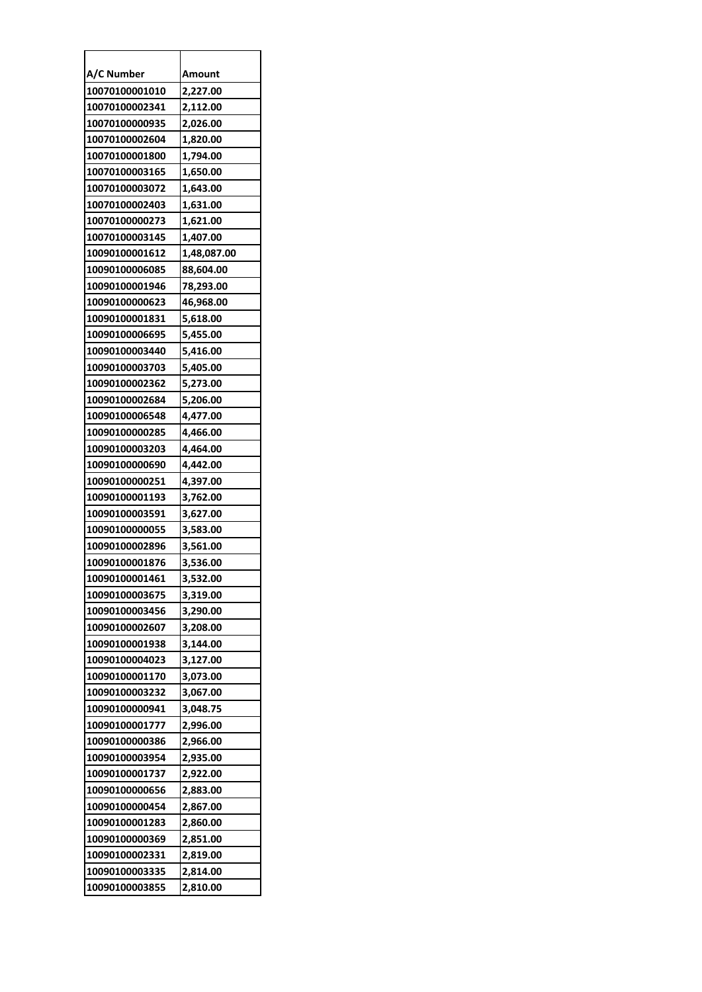| A/C Number     | Amount      |
|----------------|-------------|
| 10070100001010 | 2,227.00    |
| 10070100002341 | 2,112.00    |
| 10070100000935 | 2,026.00    |
| 10070100002604 | 1,820.00    |
| 10070100001800 | 1,794.00    |
| 10070100003165 | 1,650.00    |
| 10070100003072 | 1,643.00    |
| 10070100002403 | 1,631.00    |
| 10070100000273 | 1,621.00    |
| 10070100003145 | 1,407.00    |
| 10090100001612 | 1,48,087.00 |
| 10090100006085 | 88,604.00   |
| 10090100001946 | 78,293.00   |
| 10090100000623 | 46,968.00   |
| 10090100001831 | 5,618.00    |
| 10090100006695 | 5,455.00    |
| 10090100003440 | 5,416.00    |
| 10090100003703 | 5,405.00    |
| 10090100002362 | 5,273.00    |
| 10090100002684 | 5,206.00    |
| 10090100006548 | 4,477.00    |
| 10090100000285 | 4,466.00    |
| 10090100003203 | 4,464.00    |
| 10090100000690 | 4,442.00    |
| 10090100000251 | 4,397.00    |
| 10090100001193 | 3,762.00    |
| 10090100003591 | 3,627.00    |
| 10090100000055 | 3,583.00    |
| 10090100002896 | 3,561.00    |
| 10090100001876 | 3,536.00    |
| 10090100001461 | 3.532.00    |
| 10090100003675 | 3,319.00    |
| 10090100003456 | 3,290.00    |
| 10090100002607 | 3,208.00    |
| 10090100001938 | 3,144.00    |
| 10090100004023 | 3,127.00    |
| 10090100001170 | 3,073.00    |
| 10090100003232 | 3,067.00    |
| 10090100000941 | 3,048.75    |
| 10090100001777 | 2,996.00    |
| 10090100000386 | 2,966.00    |
| 10090100003954 | 2,935.00    |
| 10090100001737 | 2,922.00    |
| 10090100000656 | 2,883.00    |
| 10090100000454 | 2,867.00    |
| 10090100001283 | 2,860.00    |
| 10090100000369 | 2,851.00    |
| 10090100002331 | 2,819.00    |
| 10090100003335 | 2,814.00    |
| 10090100003855 | 2,810.00    |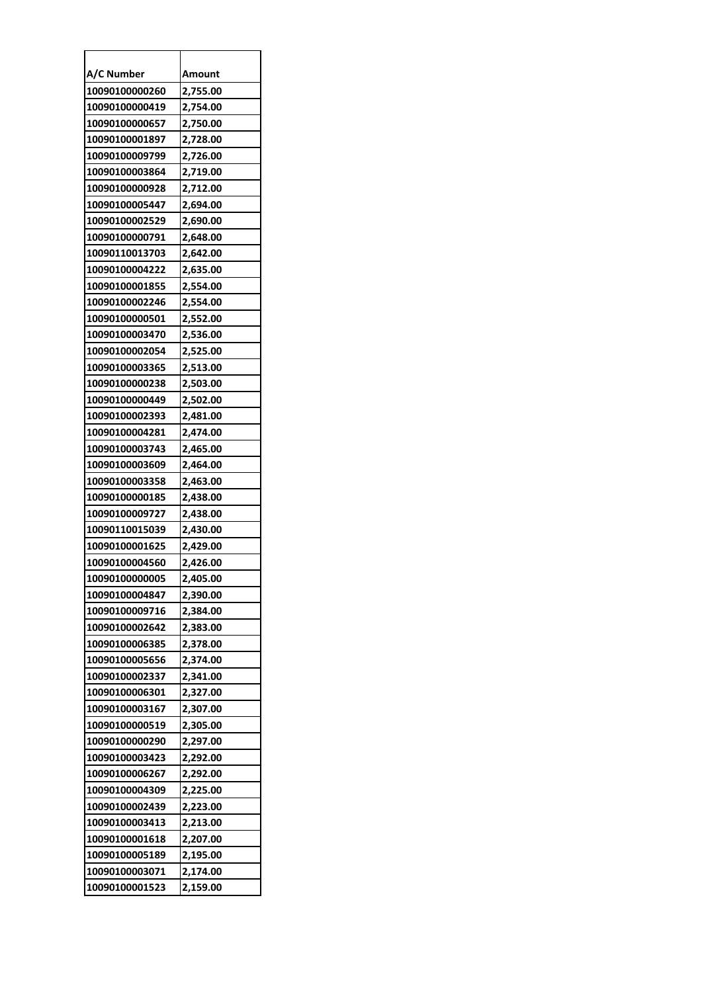| A/C Number     | Amount   |
|----------------|----------|
| 10090100000260 | 2,755.00 |
| 10090100000419 | 2,754.00 |
| 10090100000657 | 2,750.00 |
| 10090100001897 | 2,728.00 |
| 10090100009799 | 2,726.00 |
| 10090100003864 | 2,719.00 |
| 10090100000928 | 2,712.00 |
| 10090100005447 | 2,694.00 |
| 10090100002529 | 2,690.00 |
| 10090100000791 | 2,648.00 |
| 10090110013703 | 2,642.00 |
| 10090100004222 | 2,635.00 |
| 10090100001855 | 2,554.00 |
| 10090100002246 | 2,554.00 |
| 10090100000501 | 2,552.00 |
| 10090100003470 | 2,536.00 |
| 10090100002054 | 2,525.00 |
| 10090100003365 | 2,513.00 |
| 10090100000238 | 2,503.00 |
| 10090100000449 | 2,502.00 |
| 10090100002393 | 2,481.00 |
| 10090100004281 | 2,474.00 |
| 10090100003743 | 2,465.00 |
| 10090100003609 | 2,464.00 |
| 10090100003358 | 2,463.00 |
| 10090100000185 | 2,438.00 |
| 10090100009727 | 2,438.00 |
| 10090110015039 | 2,430.00 |
| 10090100001625 | 2,429.00 |
| 10090100004560 | 2,426.00 |
| 10090100000005 | 2.405.00 |
| 10090100004847 | 2,390.00 |
| 10090100009716 | 2,384.00 |
| 10090100002642 | 2,383.00 |
| 10090100006385 | 2,378.00 |
| 10090100005656 | 2,374.00 |
| 10090100002337 | 2,341.00 |
| 10090100006301 | 2,327.00 |
| 10090100003167 | 2,307.00 |
| 10090100000519 | 2,305.00 |
| 10090100000290 | 2,297.00 |
| 10090100003423 | 2,292.00 |
| 10090100006267 | 2,292.00 |
| 10090100004309 | 2,225.00 |
| 10090100002439 | 2,223.00 |
| 10090100003413 | 2,213.00 |
| 10090100001618 | 2,207.00 |
| 10090100005189 | 2,195.00 |
| 10090100003071 | 2,174.00 |
| 10090100001523 | 2,159.00 |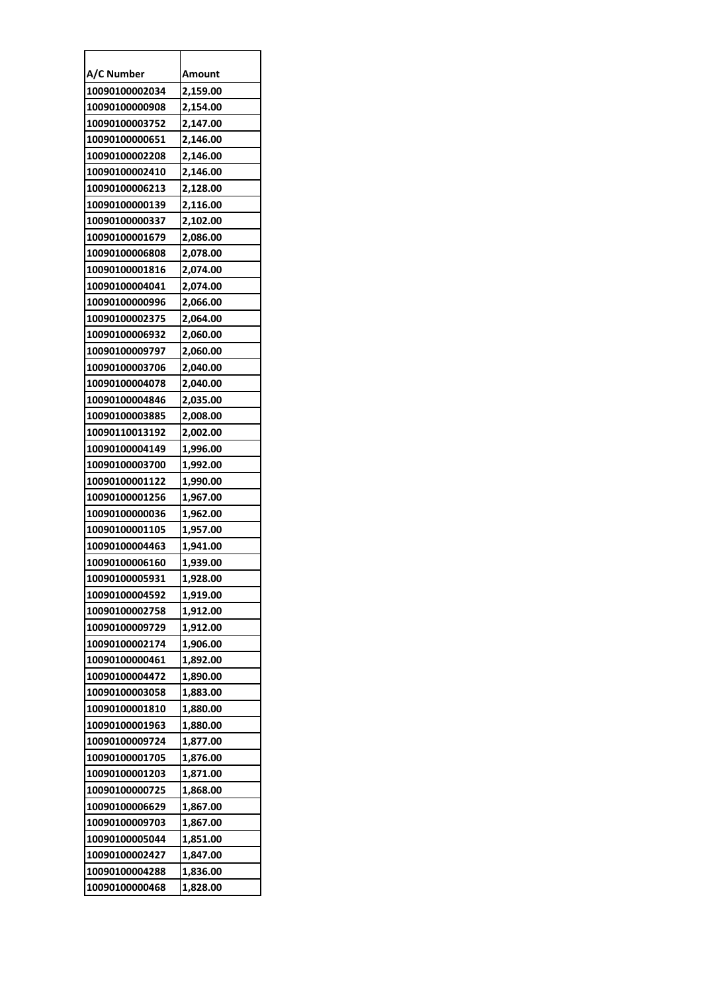| A/C Number     | Amount   |
|----------------|----------|
| 10090100002034 | 2,159.00 |
| 10090100000908 | 2,154.00 |
| 10090100003752 | 2,147.00 |
| 10090100000651 | 2,146.00 |
| 10090100002208 | 2,146.00 |
| 10090100002410 | 2,146.00 |
| 10090100006213 | 2,128.00 |
| 10090100000139 | 2,116.00 |
| 10090100000337 | 2,102.00 |
| 10090100001679 | 2,086.00 |
| 10090100006808 | 2,078.00 |
| 10090100001816 | 2,074.00 |
| 10090100004041 | 2,074.00 |
| 10090100000996 | 2,066.00 |
| 10090100002375 | 2,064.00 |
| 10090100006932 | 2,060.00 |
| 10090100009797 | 2,060.00 |
| 10090100003706 | 2,040.00 |
| 10090100004078 | 2,040.00 |
| 10090100004846 | 2,035.00 |
| 10090100003885 | 2,008.00 |
| 10090110013192 | 2,002.00 |
| 10090100004149 | 1,996.00 |
| 10090100003700 | 1,992.00 |
| 10090100001122 | 1,990.00 |
| 10090100001256 | 1,967.00 |
| 10090100000036 | 1,962.00 |
| 10090100001105 | 1,957.00 |
| 10090100004463 | 1,941.00 |
| 10090100006160 | 1,939.00 |
| 10090100005931 | 1,928.00 |
| 10090100004592 | 1,919.00 |
| 10090100002758 | 1,912.00 |
| 10090100009729 | 1,912.00 |
| 10090100002174 | 1,906.00 |
| 10090100000461 | 1,892.00 |
| 10090100004472 | 1,890.00 |
| 10090100003058 | 1,883.00 |
| 10090100001810 | 1,880.00 |
| 10090100001963 | 1,880.00 |
| 10090100009724 | 1,877.00 |
| 10090100001705 | 1,876.00 |
| 10090100001203 | 1,871.00 |
| 10090100000725 | 1,868.00 |
| 10090100006629 | 1,867.00 |
| 10090100009703 | 1,867.00 |
| 10090100005044 | 1,851.00 |
| 10090100002427 | 1,847.00 |
| 10090100004288 | 1,836.00 |
| 10090100000468 | 1,828.00 |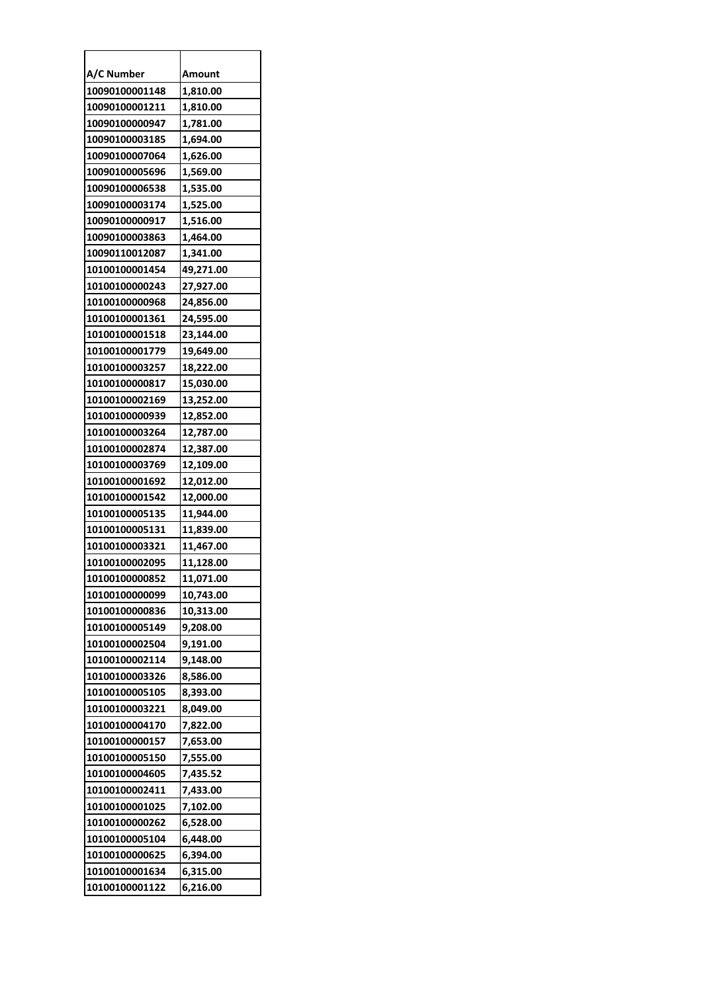| A/C Number     | Amount    |
|----------------|-----------|
| 10090100001148 | 1,810.00  |
| 10090100001211 | 1,810.00  |
| 10090100000947 | 1,781.00  |
| 10090100003185 | 1,694.00  |
| 10090100007064 | 1,626.00  |
| 10090100005696 | 1,569.00  |
| 10090100006538 | 1,535.00  |
| 10090100003174 | 1,525.00  |
| 10090100000917 | 1,516.00  |
| 10090100003863 | 1,464.00  |
| 10090110012087 | 1,341.00  |
| 10100100001454 | 49,271.00 |
| 10100100000243 | 27,927.00 |
| 10100100000968 | 24,856.00 |
| 10100100001361 | 24,595.00 |
| 10100100001518 | 23,144.00 |
| 10100100001779 | 19,649.00 |
| 10100100003257 | 18,222.00 |
| 10100100000817 | 15,030.00 |
| 10100100002169 | 13,252.00 |
| 10100100000939 | 12,852.00 |
| 10100100003264 | 12,787.00 |
| 10100100002874 | 12,387.00 |
| 10100100003769 | 12,109.00 |
| 10100100001692 | 12,012.00 |
| 10100100001542 | 12,000.00 |
| 10100100005135 | 11,944.00 |
| 10100100005131 | 11,839.00 |
| 10100100003321 | 11,467.00 |
| 10100100002095 | 11,128.00 |
| 10100100000852 | 11,071.00 |
| 10100100000099 | 10,743.00 |
| 10100100000836 | 10,313.00 |
| 10100100005149 | 9,208.00  |
| 10100100002504 | 9,191.00  |
| 10100100002114 | 9,148.00  |
| 10100100003326 | 8,586.00  |
| 10100100005105 | 8,393.00  |
| 10100100003221 | 8,049.00  |
| 10100100004170 | 7,822.00  |
| 10100100000157 | 7,653.00  |
| 10100100005150 | 7,555.00  |
| 10100100004605 | 7,435.52  |
| 10100100002411 | 7,433.00  |
| 10100100001025 | 7,102.00  |
| 10100100000262 | 6,528.00  |
| 10100100005104 | 6,448.00  |
| 10100100000625 | 6,394.00  |
| 10100100001634 | 6,315.00  |
| 10100100001122 | 6,216.00  |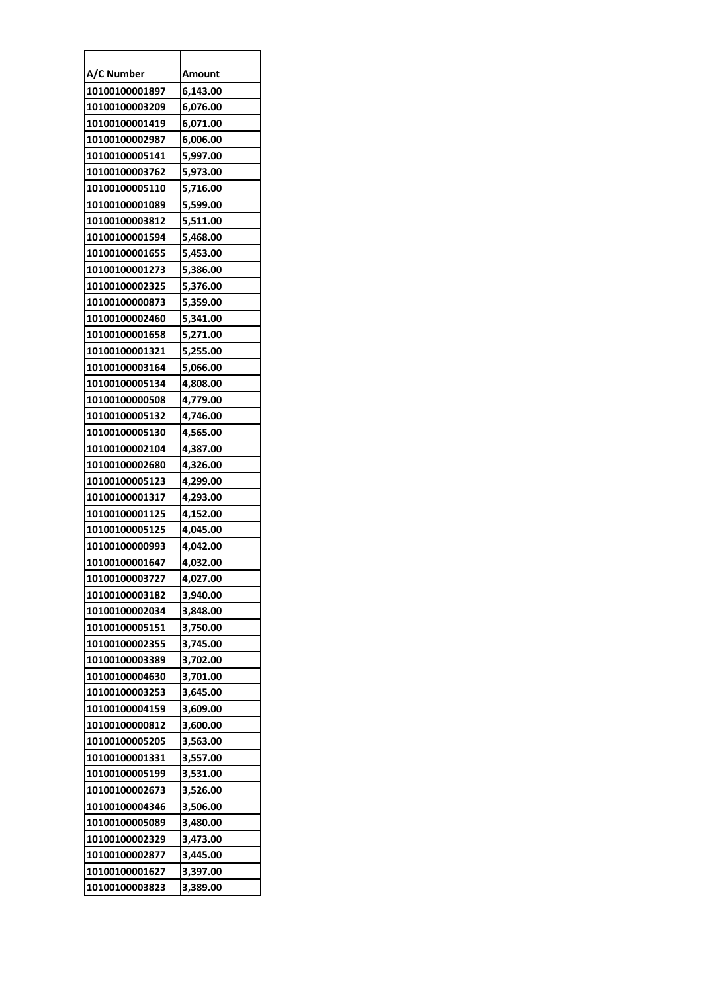| A/C Number     | Amount   |
|----------------|----------|
| 10100100001897 | 6,143.00 |
| 10100100003209 | 6,076.00 |
| 10100100001419 | 6,071.00 |
| 10100100002987 | 6,006.00 |
| 10100100005141 | 5,997.00 |
| 10100100003762 | 5,973.00 |
| 10100100005110 | 5,716.00 |
| 10100100001089 | 5,599.00 |
| 10100100003812 | 5,511.00 |
| 10100100001594 | 5,468.00 |
| 10100100001655 | 5,453.00 |
| 10100100001273 | 5,386.00 |
| 10100100002325 | 5,376.00 |
| 10100100000873 | 5,359.00 |
| 10100100002460 | 5,341.00 |
| 10100100001658 | 5,271.00 |
| 10100100001321 | 5,255.00 |
| 10100100003164 | 5,066.00 |
| 10100100005134 | 4,808.00 |
| 10100100000508 | 4,779.00 |
| 10100100005132 | 4,746.00 |
| 10100100005130 | 4,565.00 |
| 10100100002104 | 4,387.00 |
| 10100100002680 | 4,326.00 |
| 10100100005123 | 4,299.00 |
| 10100100001317 | 4,293.00 |
| 10100100001125 | 4,152.00 |
| 10100100005125 | 4,045.00 |
| 10100100000993 | 4,042.00 |
| 10100100001647 | 4,032.00 |
| 10100100003727 | 4,027.00 |
| 10100100003182 | 3,940.00 |
| 10100100002034 | 3,848.00 |
| 10100100005151 | 3,750.00 |
| 10100100002355 | 3,745.00 |
| 10100100003389 | 3,702.00 |
| 10100100004630 | 3,701.00 |
| 10100100003253 | 3,645.00 |
| 10100100004159 | 3,609.00 |
| 10100100000812 | 3,600.00 |
| 10100100005205 | 3,563.00 |
| 10100100001331 | 3,557.00 |
| 10100100005199 | 3,531.00 |
| 10100100002673 | 3,526.00 |
| 10100100004346 | 3,506.00 |
| 10100100005089 | 3,480.00 |
| 10100100002329 | 3,473.00 |
| 10100100002877 | 3,445.00 |
| 10100100001627 | 3,397.00 |
| 10100100003823 | 3,389.00 |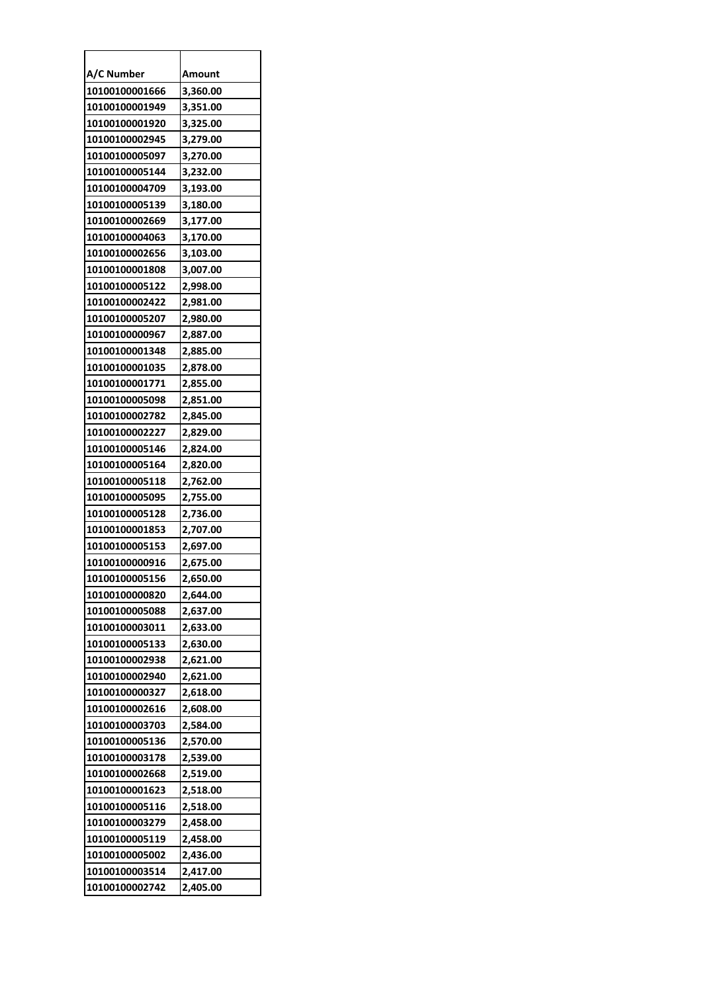| A/C Number     | Amount   |
|----------------|----------|
| 10100100001666 | 3,360.00 |
| 10100100001949 | 3,351.00 |
| 10100100001920 | 3,325.00 |
| 10100100002945 | 3,279.00 |
| 10100100005097 | 3,270.00 |
| 10100100005144 | 3,232.00 |
| 10100100004709 | 3,193.00 |
| 10100100005139 | 3,180.00 |
| 10100100002669 | 3,177.00 |
| 10100100004063 | 3,170.00 |
| 10100100002656 | 3,103.00 |
| 10100100001808 | 3,007.00 |
| 10100100005122 | 2,998.00 |
| 10100100002422 | 2,981.00 |
| 10100100005207 | 2,980.00 |
| 10100100000967 | 2,887.00 |
| 10100100001348 | 2,885.00 |
| 10100100001035 | 2,878.00 |
| 10100100001771 | 2,855.00 |
| 10100100005098 | 2,851.00 |
| 10100100002782 | 2,845.00 |
| 10100100002227 | 2,829.00 |
| 10100100005146 | 2,824.00 |
| 10100100005164 | 2,820.00 |
| 10100100005118 | 2,762.00 |
| 10100100005095 | 2,755.00 |
| 10100100005128 | 2,736.00 |
| 10100100001853 | 2,707.00 |
| 10100100005153 | 2,697.00 |
| 10100100000916 | 2,675.00 |
| 10100100005156 | 2.650.00 |
| 10100100000820 | 2,644.00 |
| 10100100005088 | 2,637.00 |
| 10100100003011 | 2,633.00 |
| 10100100005133 | 2,630.00 |
| 10100100002938 | 2,621.00 |
| 10100100002940 | 2,621.00 |
| 10100100000327 | 2,618.00 |
| 10100100002616 | 2,608.00 |
| 10100100003703 | 2,584.00 |
| 10100100005136 | 2,570.00 |
| 10100100003178 | 2,539.00 |
| 10100100002668 | 2,519.00 |
| 10100100001623 | 2,518.00 |
| 10100100005116 | 2,518.00 |
| 10100100003279 | 2,458.00 |
| 10100100005119 | 2,458.00 |
| 10100100005002 | 2,436.00 |
| 10100100003514 | 2,417.00 |
| 10100100002742 | 2,405.00 |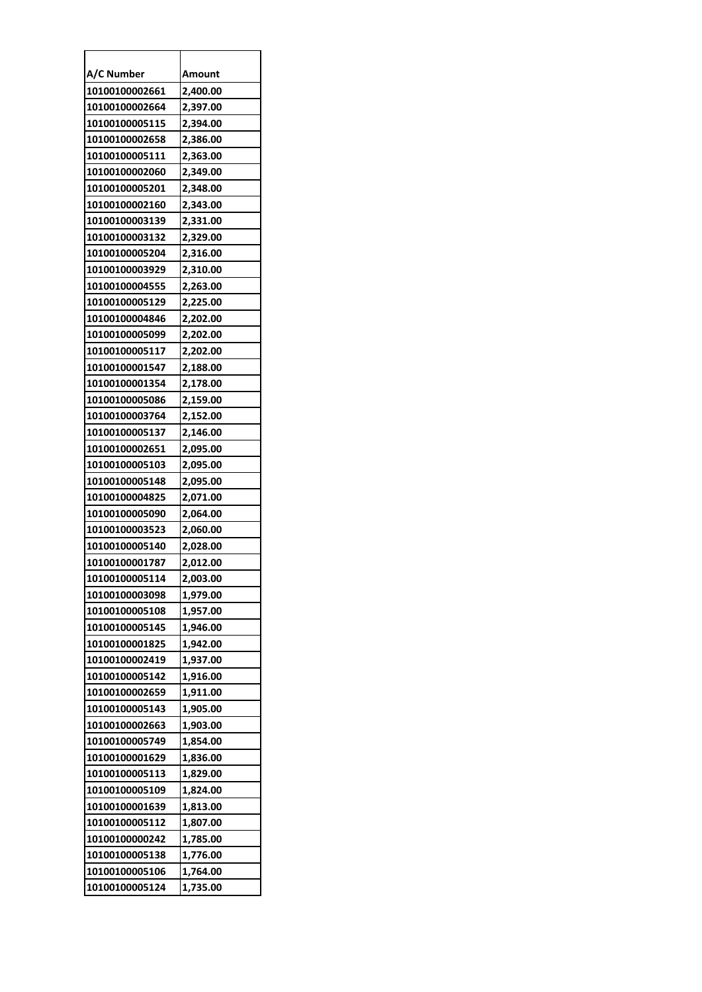| A/C Number     | Amount   |
|----------------|----------|
| 10100100002661 | 2,400.00 |
| 10100100002664 | 2,397.00 |
| 10100100005115 | 2,394.00 |
| 10100100002658 | 2,386.00 |
| 10100100005111 | 2,363.00 |
| 10100100002060 | 2,349.00 |
| 10100100005201 | 2,348.00 |
| 10100100002160 | 2,343.00 |
| 10100100003139 | 2,331.00 |
| 10100100003132 | 2,329.00 |
| 10100100005204 | 2,316.00 |
| 10100100003929 | 2,310.00 |
| 10100100004555 | 2,263.00 |
| 10100100005129 | 2,225.00 |
| 10100100004846 | 2,202.00 |
| 10100100005099 | 2,202.00 |
| 10100100005117 | 2,202.00 |
| 10100100001547 | 2,188.00 |
| 10100100001354 | 2,178.00 |
| 10100100005086 | 2,159.00 |
| 10100100003764 | 2,152.00 |
| 10100100005137 | 2,146.00 |
| 10100100002651 | 2,095.00 |
| 10100100005103 | 2,095.00 |
| 10100100005148 | 2,095.00 |
| 10100100004825 | 2,071.00 |
| 10100100005090 | 2,064.00 |
| 10100100003523 | 2,060.00 |
| 10100100005140 | 2,028.00 |
| 10100100001787 | 2,012.00 |
| 10100100005114 | 2.003.00 |
| 10100100003098 | 1,979.00 |
| 10100100005108 | 1,957.00 |
| 10100100005145 | 1,946.00 |
| 10100100001825 | 1,942.00 |
| 10100100002419 | 1,937.00 |
| 10100100005142 | 1,916.00 |
| 10100100002659 | 1,911.00 |
| 10100100005143 | 1,905.00 |
| 10100100002663 | 1,903.00 |
| 10100100005749 | 1,854.00 |
| 10100100001629 | 1,836.00 |
| 10100100005113 | 1,829.00 |
| 10100100005109 | 1,824.00 |
| 10100100001639 | 1,813.00 |
| 10100100005112 | 1,807.00 |
| 10100100000242 | 1,785.00 |
| 10100100005138 | 1,776.00 |
| 10100100005106 | 1,764.00 |
| 10100100005124 | 1,735.00 |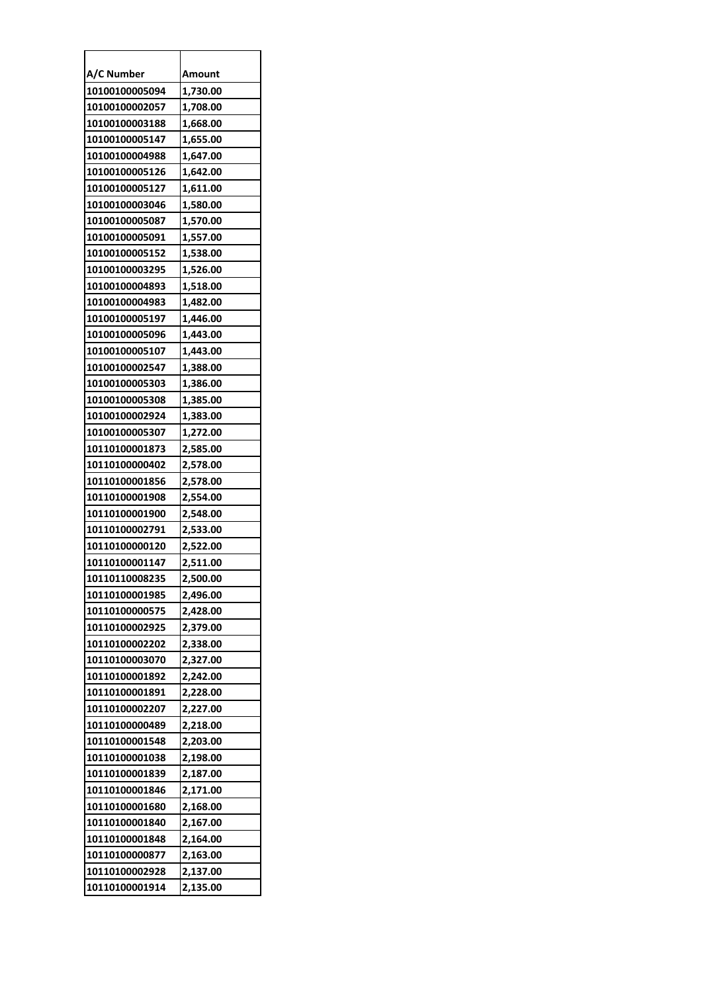| A/C Number     | Amount   |
|----------------|----------|
| 10100100005094 | 1,730.00 |
| 10100100002057 | 1,708.00 |
| 10100100003188 | 1,668.00 |
| 10100100005147 | 1,655.00 |
| 10100100004988 | 1,647.00 |
| 10100100005126 | 1,642.00 |
| 10100100005127 | 1,611.00 |
| 10100100003046 | 1,580.00 |
| 10100100005087 | 1,570.00 |
| 10100100005091 | 1,557.00 |
| 10100100005152 | 1,538.00 |
| 10100100003295 | 1,526.00 |
| 10100100004893 | 1,518.00 |
| 10100100004983 | 1,482.00 |
| 10100100005197 | 1,446.00 |
| 10100100005096 | 1,443.00 |
| 10100100005107 | 1,443.00 |
| 10100100002547 | 1,388.00 |
| 10100100005303 | 1,386.00 |
| 10100100005308 | 1,385.00 |
| 10100100002924 | 1,383.00 |
| 10100100005307 | 1,272.00 |
| 10110100001873 | 2,585.00 |
| 10110100000402 | 2,578.00 |
| 10110100001856 | 2,578.00 |
| 10110100001908 | 2,554.00 |
| 10110100001900 | 2,548.00 |
| 10110100002791 | 2,533.00 |
| 10110100000120 | 2,522.00 |
| 10110100001147 | 2,511.00 |
| 10110110008235 | 2,500.00 |
| 10110100001985 | 2,496.00 |
| 10110100000575 | 2,428.00 |
| 10110100002925 | 2,379.00 |
| 10110100002202 | 2,338.00 |
| 10110100003070 | 2,327.00 |
| 10110100001892 | 2,242.00 |
| 10110100001891 | 2,228.00 |
| 10110100002207 | 2,227.00 |
| 10110100000489 | 2,218.00 |
| 10110100001548 | 2,203.00 |
| 10110100001038 | 2,198.00 |
| 10110100001839 | 2,187.00 |
| 10110100001846 | 2,171.00 |
| 10110100001680 | 2,168.00 |
| 10110100001840 | 2,167.00 |
| 10110100001848 | 2,164.00 |
| 10110100000877 | 2,163.00 |
| 10110100002928 | 2,137.00 |
| 10110100001914 | 2,135.00 |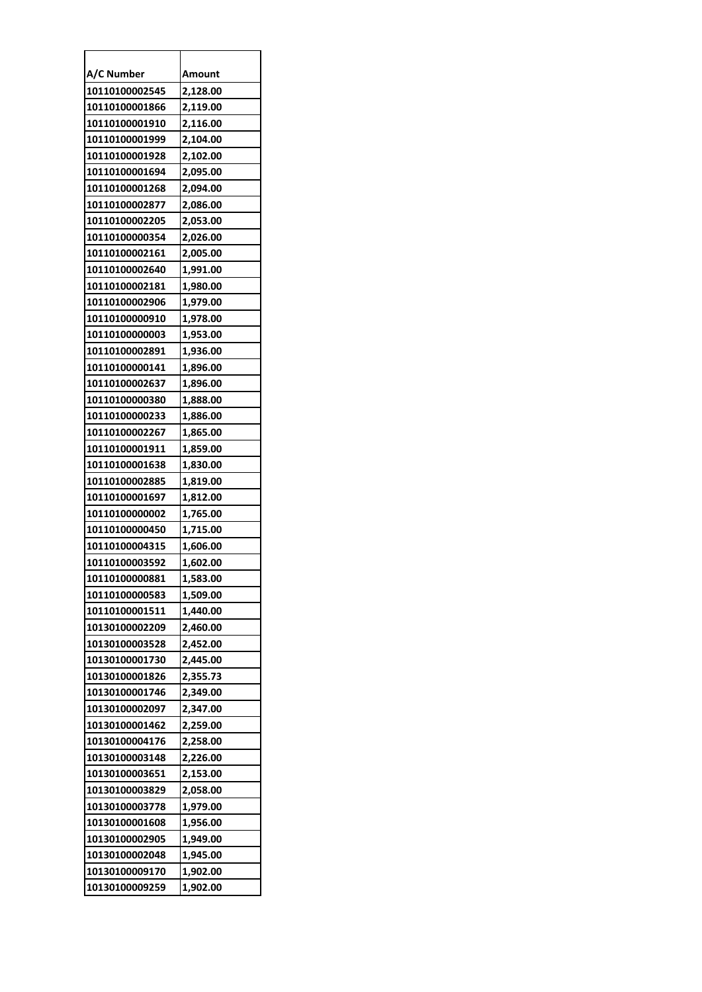| A/C Number     | Amount   |
|----------------|----------|
| 10110100002545 | 2,128.00 |
| 10110100001866 | 2,119.00 |
| 10110100001910 | 2,116.00 |
| 10110100001999 | 2,104.00 |
| 10110100001928 | 2,102.00 |
| 10110100001694 | 2,095.00 |
| 10110100001268 | 2,094.00 |
| 10110100002877 | 2,086.00 |
| 10110100002205 | 2,053.00 |
| 10110100000354 | 2,026.00 |
| 10110100002161 | 2,005.00 |
| 10110100002640 | 1,991.00 |
| 10110100002181 | 1,980.00 |
| 10110100002906 | 1,979.00 |
| 10110100000910 | 1,978.00 |
| 10110100000003 | 1,953.00 |
| 10110100002891 | 1,936.00 |
| 10110100000141 | 1,896.00 |
| 10110100002637 | 1,896.00 |
| 10110100000380 | 1,888.00 |
| 10110100000233 | 1,886.00 |
| 10110100002267 | 1,865.00 |
| 10110100001911 | 1,859.00 |
| 10110100001638 | 1,830.00 |
| 10110100002885 | 1,819.00 |
| 10110100001697 | 1,812.00 |
| 10110100000002 | 1,765.00 |
| 10110100000450 | 1,715.00 |
| 10110100004315 | 1,606.00 |
| 10110100003592 | 1,602.00 |
| 10110100000881 | 1,583.00 |
| 10110100000583 | 1,509.00 |
| 10110100001511 | 1,440.00 |
| 10130100002209 | 2,460.00 |
| 10130100003528 | 2,452.00 |
| 10130100001730 | 2,445.00 |
| 10130100001826 | 2,355.73 |
| 10130100001746 | 2,349.00 |
| 10130100002097 | 2,347.00 |
| 10130100001462 | 2,259.00 |
| 10130100004176 | 2,258.00 |
| 10130100003148 | 2,226.00 |
| 10130100003651 | 2,153.00 |
| 10130100003829 | 2,058.00 |
| 10130100003778 | 1,979.00 |
| 10130100001608 | 1,956.00 |
| 10130100002905 | 1,949.00 |
| 10130100002048 | 1,945.00 |
| 10130100009170 | 1,902.00 |
| 10130100009259 | 1,902.00 |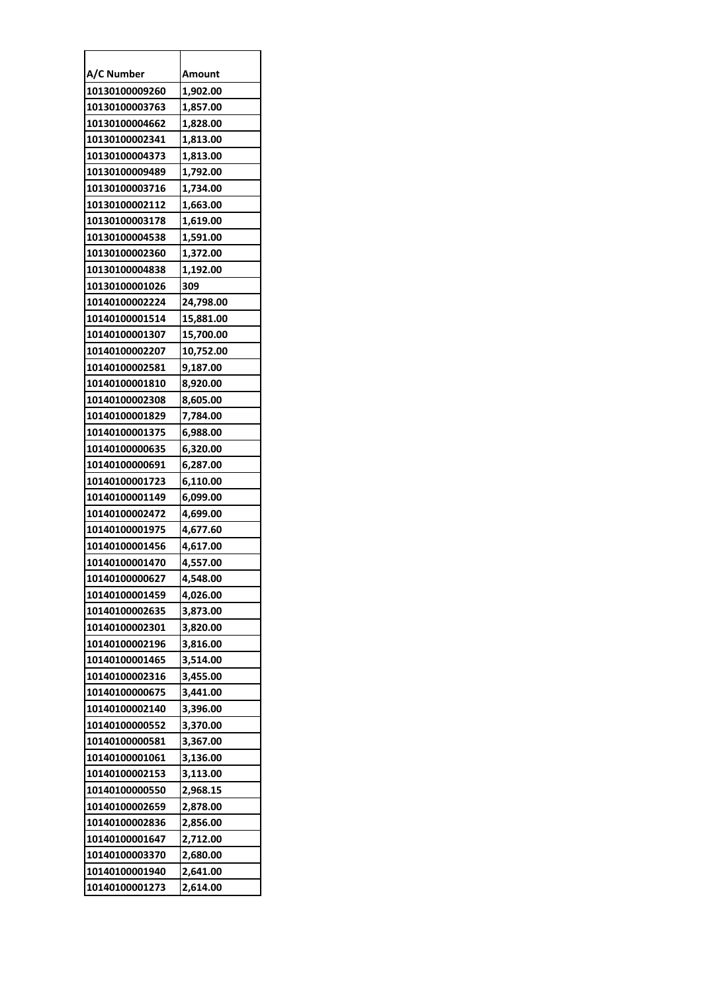| A/C Number     | Amount    |
|----------------|-----------|
| 10130100009260 | 1,902.00  |
| 10130100003763 | 1,857.00  |
| 10130100004662 | 1,828.00  |
| 10130100002341 | 1,813.00  |
| 10130100004373 | 1,813.00  |
| 10130100009489 | 1,792.00  |
| 10130100003716 | 1,734.00  |
| 10130100002112 | 1,663.00  |
| 10130100003178 | 1,619.00  |
| 10130100004538 | 1,591.00  |
| 10130100002360 | 1,372.00  |
| 10130100004838 | 1,192.00  |
| 10130100001026 | 309       |
| 10140100002224 | 24,798.00 |
| 10140100001514 | 15,881.00 |
| 10140100001307 | 15,700.00 |
| 10140100002207 | 10,752.00 |
| 10140100002581 | 9,187.00  |
| 10140100001810 | 8,920.00  |
| 10140100002308 | 8,605.00  |
| 10140100001829 | 7,784.00  |
| 10140100001375 | 6,988.00  |
| 10140100000635 | 6,320.00  |
| 10140100000691 | 6,287.00  |
| 10140100001723 | 6,110.00  |
| 10140100001149 | 6,099.00  |
| 10140100002472 | 4,699.00  |
| 10140100001975 | 4,677.60  |
| 10140100001456 | 4,617.00  |
| 10140100001470 | 4,557.00  |
| 10140100000627 | 4,548.00  |
| 10140100001459 | 4,026.00  |
| 10140100002635 | 3,873.00  |
| 10140100002301 | 3,820.00  |
| 10140100002196 | 3,816.00  |
| 10140100001465 | 3,514.00  |
| 10140100002316 | 3,455.00  |
| 10140100000675 | 3,441.00  |
| 10140100002140 | 3,396.00  |
| 10140100000552 | 3,370.00  |
| 10140100000581 | 3,367.00  |
| 10140100001061 | 3,136.00  |
| 10140100002153 | 3,113.00  |
| 10140100000550 | 2,968.15  |
| 10140100002659 | 2,878.00  |
| 10140100002836 | 2,856.00  |
| 10140100001647 | 2,712.00  |
| 10140100003370 | 2,680.00  |
| 10140100001940 | 2,641.00  |
| 10140100001273 | 2,614.00  |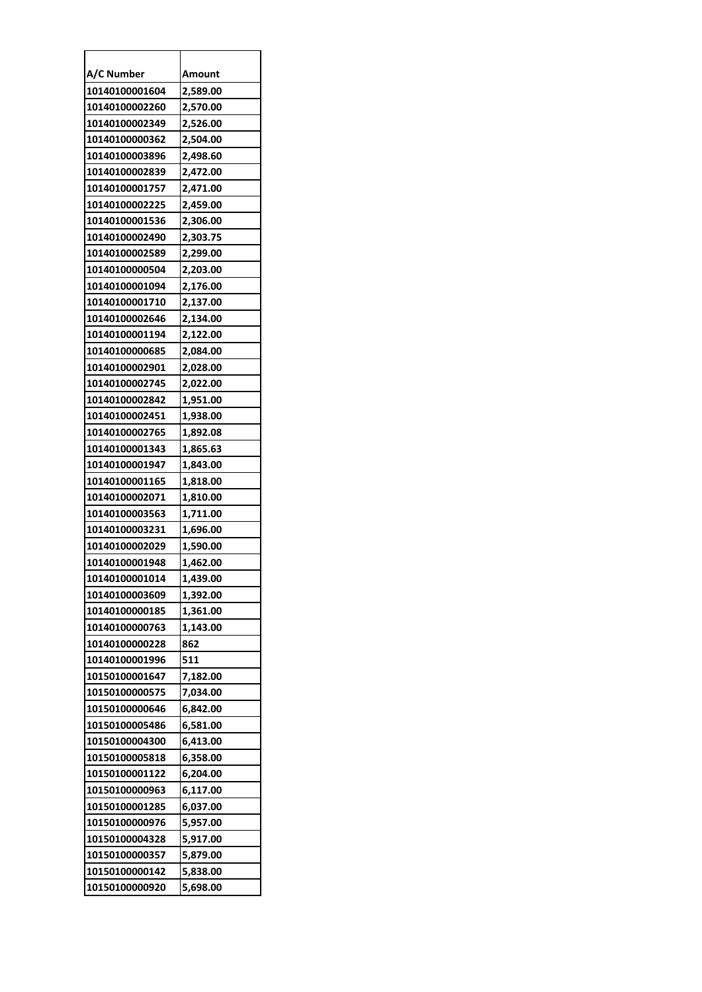| A/C Number     | Amount   |
|----------------|----------|
| 10140100001604 | 2,589.00 |
| 10140100002260 | 2,570.00 |
| 10140100002349 | 2,526.00 |
| 10140100000362 | 2,504.00 |
| 10140100003896 | 2,498.60 |
| 10140100002839 | 2,472.00 |
| 10140100001757 | 2,471.00 |
| 10140100002225 | 2,459.00 |
| 10140100001536 | 2,306.00 |
| 10140100002490 | 2,303.75 |
| 10140100002589 | 2,299.00 |
| 10140100000504 | 2,203.00 |
| 10140100001094 | 2,176.00 |
| 10140100001710 | 2,137.00 |
| 10140100002646 | 2,134.00 |
| 10140100001194 | 2,122.00 |
| 10140100000685 | 2,084.00 |
| 10140100002901 | 2,028.00 |
| 10140100002745 | 2,022.00 |
| 10140100002842 | 1,951.00 |
| 10140100002451 | 1,938.00 |
| 10140100002765 | 1,892.08 |
| 10140100001343 | 1,865.63 |
| 10140100001947 | 1,843.00 |
| 10140100001165 | 1,818.00 |
| 10140100002071 | 1,810.00 |
| 10140100003563 | 1,711.00 |
| 10140100003231 | 1,696.00 |
| 10140100002029 | 1,590.00 |
| 10140100001948 | 1,462.00 |
| 10140100001014 | 1,439.00 |
| 10140100003609 | 1,392.00 |
| 10140100000185 | 1,361.00 |
| 10140100000763 | 1,143.00 |
| 10140100000228 | 862      |
| 10140100001996 | 511      |
| 10150100001647 | 7,182.00 |
| 10150100000575 | 7,034.00 |
| 10150100000646 | 6,842.00 |
| 10150100005486 | 6,581.00 |
| 10150100004300 | 6,413.00 |
| 10150100005818 | 6,358.00 |
| 10150100001122 | 6,204.00 |
| 10150100000963 | 6,117.00 |
| 10150100001285 | 6,037.00 |
| 10150100000976 | 5,957.00 |
| 10150100004328 | 5,917.00 |
| 10150100000357 | 5,879.00 |
| 10150100000142 | 5,838.00 |
| 10150100000920 | 5,698.00 |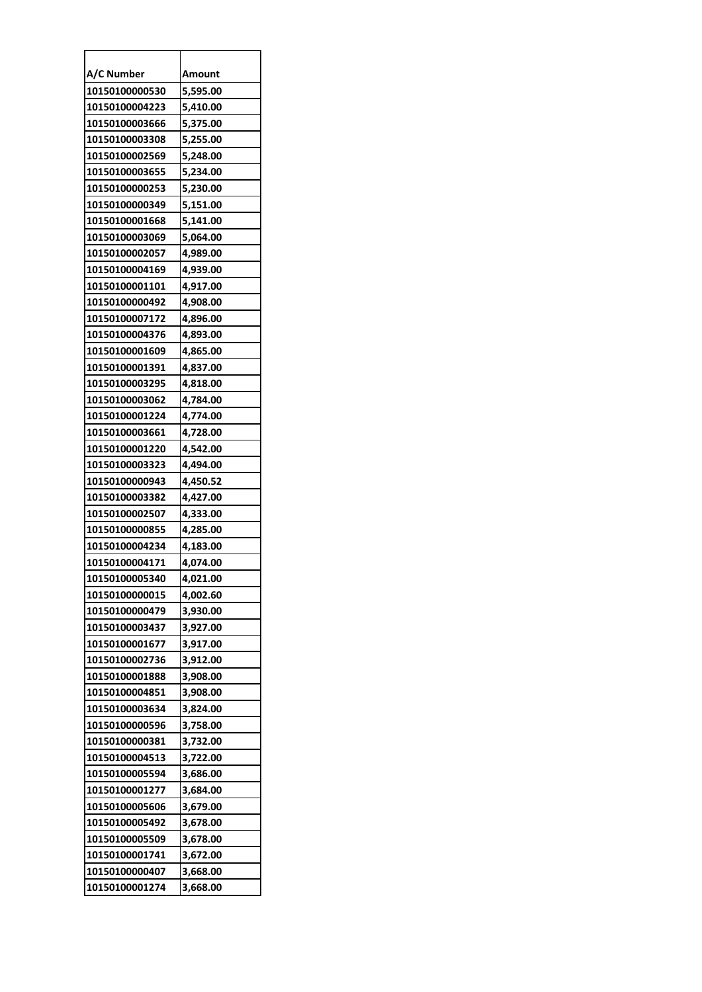| A/C Number     | Amount   |
|----------------|----------|
| 10150100000530 | 5,595.00 |
| 10150100004223 | 5,410.00 |
| 10150100003666 | 5,375.00 |
| 10150100003308 | 5,255.00 |
| 10150100002569 | 5,248.00 |
| 10150100003655 | 5,234.00 |
| 10150100000253 | 5,230.00 |
| 10150100000349 | 5,151.00 |
| 10150100001668 | 5,141.00 |
| 10150100003069 | 5,064.00 |
| 10150100002057 | 4,989.00 |
| 10150100004169 | 4,939.00 |
| 10150100001101 | 4,917.00 |
| 10150100000492 | 4,908.00 |
| 10150100007172 | 4,896.00 |
| 10150100004376 | 4,893.00 |
| 10150100001609 | 4,865.00 |
| 10150100001391 | 4,837.00 |
| 10150100003295 | 4,818.00 |
| 10150100003062 | 4,784.00 |
| 10150100001224 | 4,774.00 |
| 10150100003661 | 4,728.00 |
| 10150100001220 | 4,542.00 |
| 10150100003323 | 4,494.00 |
| 10150100000943 | 4,450.52 |
| 10150100003382 | 4,427.00 |
| 10150100002507 | 4,333.00 |
| 10150100000855 | 4,285.00 |
| 10150100004234 | 4,183.00 |
| 10150100004171 | 4,074.00 |
| 10150100005340 | 4.021.00 |
| 10150100000015 | 4,002.60 |
| 10150100000479 | 3,930.00 |
| 10150100003437 | 3,927.00 |
| 10150100001677 | 3,917.00 |
| 10150100002736 | 3,912.00 |
| 10150100001888 | 3,908.00 |
| 10150100004851 | 3,908.00 |
| 10150100003634 | 3,824.00 |
| 10150100000596 | 3,758.00 |
| 10150100000381 | 3,732.00 |
| 10150100004513 | 3,722.00 |
| 10150100005594 | 3,686.00 |
| 10150100001277 | 3,684.00 |
| 10150100005606 | 3,679.00 |
| 10150100005492 | 3,678.00 |
| 10150100005509 | 3,678.00 |
| 10150100001741 | 3,672.00 |
| 10150100000407 | 3,668.00 |
| 10150100001274 | 3,668.00 |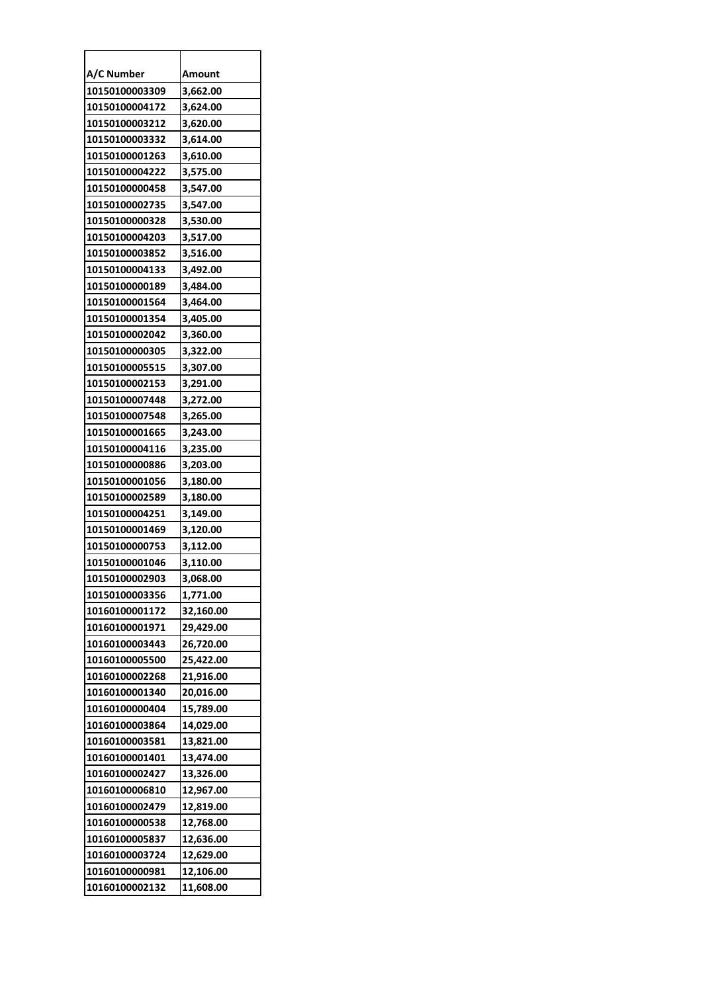| A/C Number     | Amount    |
|----------------|-----------|
| 10150100003309 | 3,662.00  |
| 10150100004172 | 3,624.00  |
| 10150100003212 | 3,620.00  |
| 10150100003332 | 3,614.00  |
| 10150100001263 | 3,610.00  |
| 10150100004222 | 3,575.00  |
| 10150100000458 | 3,547.00  |
| 10150100002735 | 3,547.00  |
| 10150100000328 | 3,530.00  |
| 10150100004203 | 3,517.00  |
| 10150100003852 | 3,516.00  |
| 10150100004133 | 3,492.00  |
| 10150100000189 | 3,484.00  |
| 10150100001564 | 3,464.00  |
| 10150100001354 | 3,405.00  |
| 10150100002042 | 3,360.00  |
| 10150100000305 | 3,322.00  |
| 10150100005515 | 3,307.00  |
| 10150100002153 | 3,291.00  |
| 10150100007448 | 3,272.00  |
| 10150100007548 | 3,265.00  |
| 10150100001665 | 3,243.00  |
| 10150100004116 | 3,235.00  |
| 10150100000886 | 3,203.00  |
| 10150100001056 | 3,180.00  |
| 10150100002589 | 3,180.00  |
| 10150100004251 | 3,149.00  |
| 10150100001469 | 3,120.00  |
| 10150100000753 | 3,112.00  |
| 10150100001046 | 3,110.00  |
| 10150100002903 | 3,068.00  |
| 10150100003356 | 1,771.00  |
| 10160100001172 | 32,160.00 |
| 10160100001971 | 29,429.00 |
| 10160100003443 | 26,720.00 |
| 10160100005500 | 25,422.00 |
| 10160100002268 | 21,916.00 |
| 10160100001340 | 20,016.00 |
| 10160100000404 | 15,789.00 |
| 10160100003864 | 14,029.00 |
| 10160100003581 | 13,821.00 |
| 10160100001401 | 13,474.00 |
| 10160100002427 | 13,326.00 |
| 10160100006810 | 12,967.00 |
| 10160100002479 | 12,819.00 |
| 10160100000538 | 12,768.00 |
| 10160100005837 | 12,636.00 |
| 10160100003724 | 12,629.00 |
| 10160100000981 | 12,106.00 |
| 10160100002132 | 11,608.00 |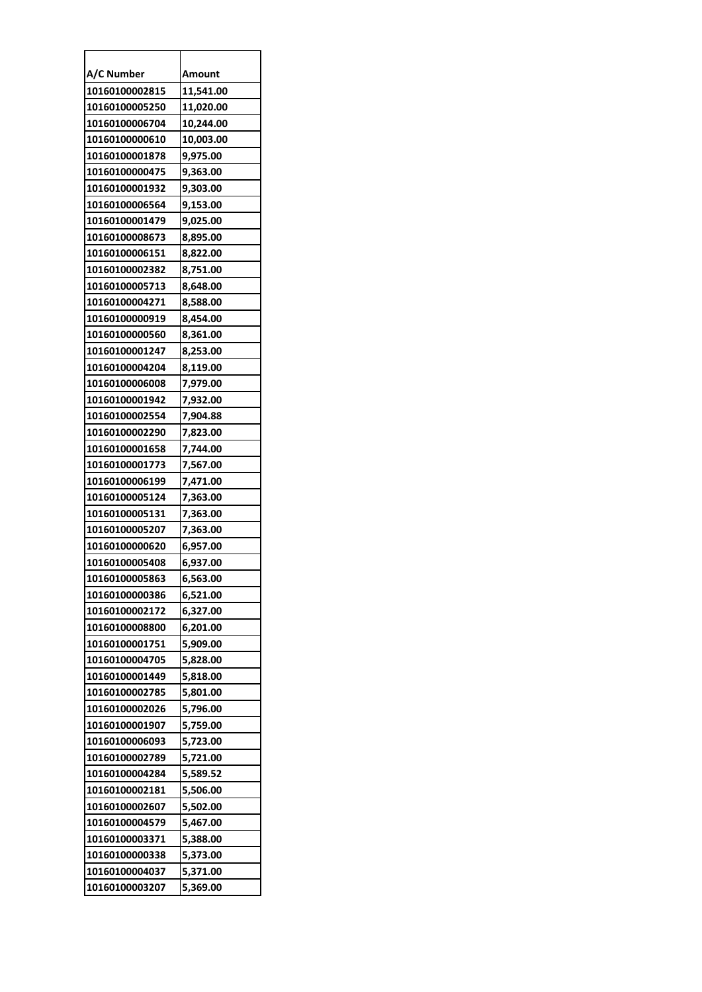| A/C Number     | Amount    |
|----------------|-----------|
| 10160100002815 | 11,541.00 |
| 10160100005250 | 11,020.00 |
| 10160100006704 | 10,244.00 |
| 10160100000610 | 10,003.00 |
| 10160100001878 | 9,975.00  |
| 10160100000475 | 9,363.00  |
| 10160100001932 | 9,303.00  |
| 10160100006564 | 9,153.00  |
| 10160100001479 | 9,025.00  |
| 10160100008673 | 8,895.00  |
| 10160100006151 | 8,822.00  |
| 10160100002382 | 8,751.00  |
| 10160100005713 | 8,648.00  |
| 10160100004271 | 8,588.00  |
| 10160100000919 | 8,454.00  |
| 10160100000560 | 8,361.00  |
| 10160100001247 | 8,253.00  |
| 10160100004204 | 8,119.00  |
| 10160100006008 | 7,979.00  |
| 10160100001942 | 7,932.00  |
| 10160100002554 | 7,904.88  |
| 10160100002290 | 7,823.00  |
| 10160100001658 | 7,744.00  |
| 10160100001773 | 7,567.00  |
| 10160100006199 | 7,471.00  |
| 10160100005124 | 7,363.00  |
| 10160100005131 | 7,363.00  |
| 10160100005207 | 7,363.00  |
| 10160100000620 | 6,957.00  |
| 10160100005408 | 6,937.00  |
| 10160100005863 | 6,563.00  |
| 10160100000386 | 6,521.00  |
| 10160100002172 | 6,327.00  |
| 10160100008800 | 6,201.00  |
| 10160100001751 | 5,909.00  |
| 10160100004705 | 5,828.00  |
| 10160100001449 | 5,818.00  |
| 10160100002785 | 5,801.00  |
| 10160100002026 | 5,796.00  |
| 10160100001907 | 5,759.00  |
| 10160100006093 | 5,723.00  |
| 10160100002789 | 5,721.00  |
| 10160100004284 | 5,589.52  |
| 10160100002181 | 5,506.00  |
| 10160100002607 | 5,502.00  |
| 10160100004579 | 5,467.00  |
| 10160100003371 | 5,388.00  |
| 10160100000338 | 5,373.00  |
| 10160100004037 | 5,371.00  |
| 10160100003207 | 5,369.00  |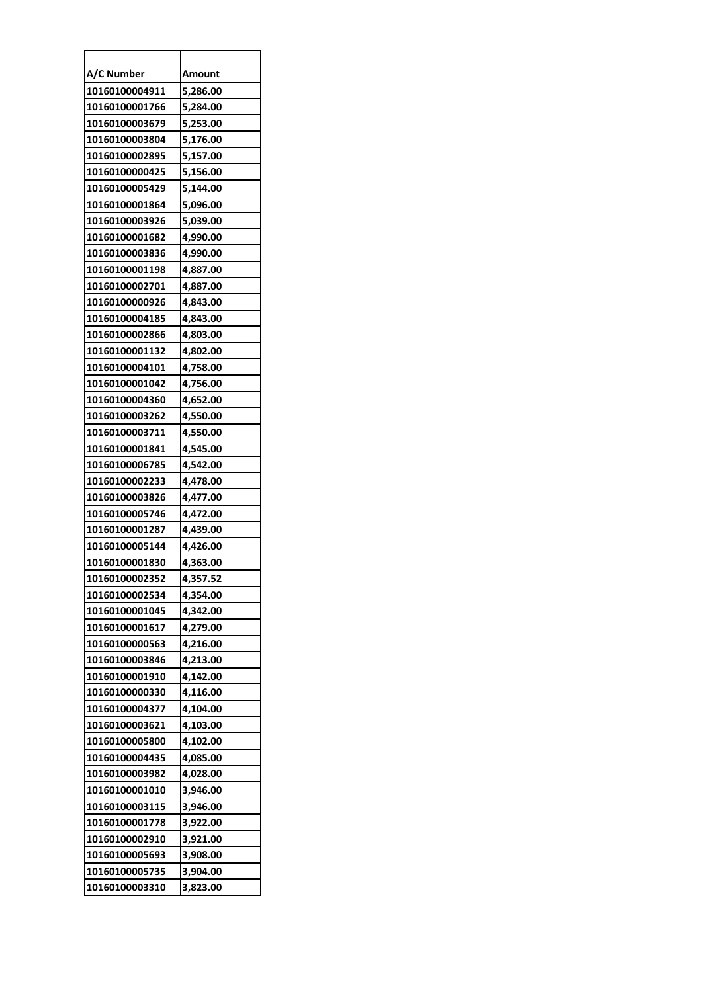| A/C Number     | Amount   |
|----------------|----------|
| 10160100004911 | 5,286.00 |
| 10160100001766 | 5,284.00 |
| 10160100003679 | 5,253.00 |
| 10160100003804 | 5,176.00 |
| 10160100002895 | 5,157.00 |
| 10160100000425 | 5,156.00 |
| 10160100005429 | 5,144.00 |
| 10160100001864 | 5,096.00 |
| 10160100003926 | 5,039.00 |
| 10160100001682 | 4,990.00 |
| 10160100003836 | 4,990.00 |
| 10160100001198 | 4,887.00 |
| 10160100002701 | 4,887.00 |
| 10160100000926 | 4,843.00 |
| 10160100004185 | 4,843.00 |
| 10160100002866 | 4,803.00 |
| 10160100001132 | 4,802.00 |
| 10160100004101 | 4,758.00 |
| 10160100001042 | 4,756.00 |
| 10160100004360 | 4,652.00 |
| 10160100003262 | 4,550.00 |
| 10160100003711 | 4,550.00 |
| 10160100001841 | 4,545.00 |
| 10160100006785 | 4,542.00 |
| 10160100002233 | 4,478.00 |
| 10160100003826 | 4,477.00 |
| 10160100005746 | 4,472.00 |
| 10160100001287 | 4,439.00 |
| 10160100005144 | 4,426.00 |
| 10160100001830 | 4,363.00 |
| 10160100002352 | 4,357.52 |
| 10160100002534 | 4,354.00 |
| 10160100001045 | 4,342.00 |
| 10160100001617 | 4,279.00 |
| 10160100000563 | 4,216.00 |
| 10160100003846 | 4,213.00 |
| 10160100001910 | 4,142.00 |
| 10160100000330 | 4.116.00 |
| 10160100004377 | 4,104.00 |
| 10160100003621 | 4,103.00 |
| 10160100005800 | 4,102.00 |
| 10160100004435 | 4,085.00 |
| 10160100003982 | 4,028.00 |
| 10160100001010 | 3,946.00 |
| 10160100003115 | 3,946.00 |
| 10160100001778 | 3,922.00 |
| 10160100002910 | 3,921.00 |
| 10160100005693 | 3,908.00 |
| 10160100005735 | 3,904.00 |
| 10160100003310 | 3,823.00 |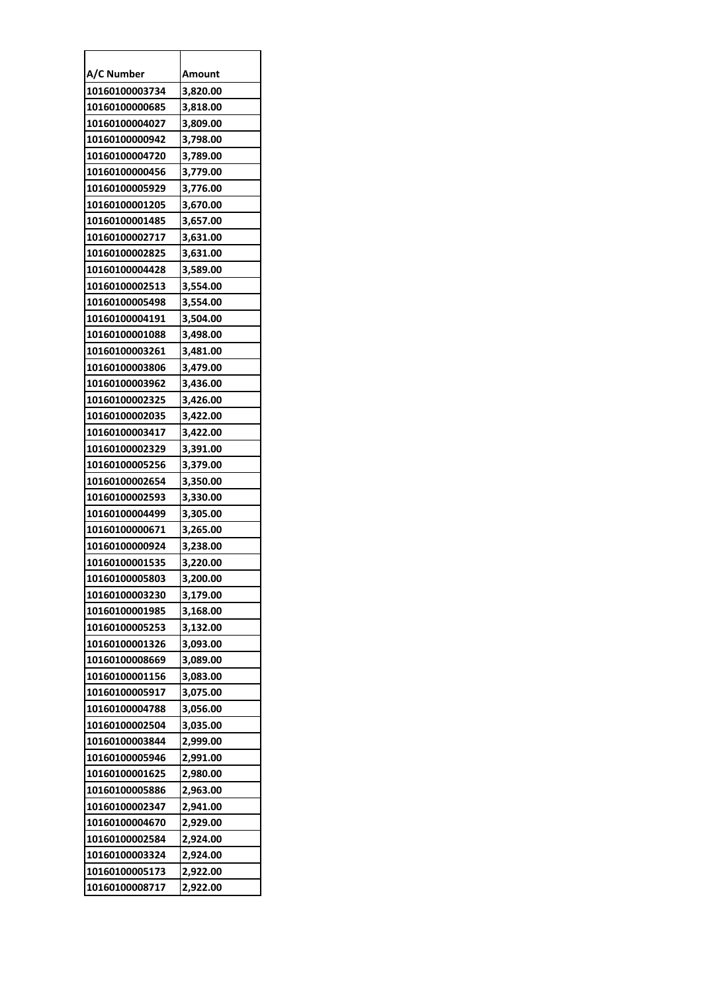| A/C Number     | Amount   |
|----------------|----------|
| 10160100003734 | 3,820.00 |
| 10160100000685 | 3,818.00 |
| 10160100004027 | 3,809.00 |
| 10160100000942 | 3,798.00 |
| 10160100004720 | 3,789.00 |
| 10160100000456 | 3,779.00 |
| 10160100005929 | 3,776.00 |
| 10160100001205 | 3,670.00 |
| 10160100001485 | 3,657.00 |
| 10160100002717 | 3,631.00 |
| 10160100002825 | 3,631.00 |
| 10160100004428 | 3,589.00 |
| 10160100002513 | 3,554.00 |
| 10160100005498 | 3,554.00 |
| 10160100004191 | 3,504.00 |
| 10160100001088 | 3,498.00 |
| 10160100003261 | 3,481.00 |
| 10160100003806 | 3,479.00 |
| 10160100003962 | 3,436.00 |
| 10160100002325 | 3,426.00 |
| 10160100002035 | 3,422.00 |
| 10160100003417 | 3,422.00 |
| 10160100002329 | 3,391.00 |
| 10160100005256 | 3,379.00 |
| 10160100002654 | 3,350.00 |
| 10160100002593 | 3,330.00 |
| 10160100004499 | 3,305.00 |
| 10160100000671 | 3,265.00 |
| 10160100000924 | 3,238.00 |
| 10160100001535 | 3,220.00 |
| 10160100005803 | 3.200.00 |
| 10160100003230 | 3,179.00 |
| 10160100001985 | 3,168.00 |
| 10160100005253 | 3,132.00 |
| 10160100001326 | 3,093.00 |
| 10160100008669 | 3,089.00 |
| 10160100001156 | 3,083.00 |
| 10160100005917 | 3,075.00 |
| 10160100004788 | 3,056.00 |
| 10160100002504 | 3,035.00 |
| 10160100003844 | 2,999.00 |
| 10160100005946 | 2,991.00 |
| 10160100001625 | 2,980.00 |
| 10160100005886 | 2,963.00 |
| 10160100002347 | 2,941.00 |
| 10160100004670 | 2,929.00 |
| 10160100002584 | 2,924.00 |
| 10160100003324 | 2,924.00 |
| 10160100005173 | 2,922.00 |
| 10160100008717 | 2,922.00 |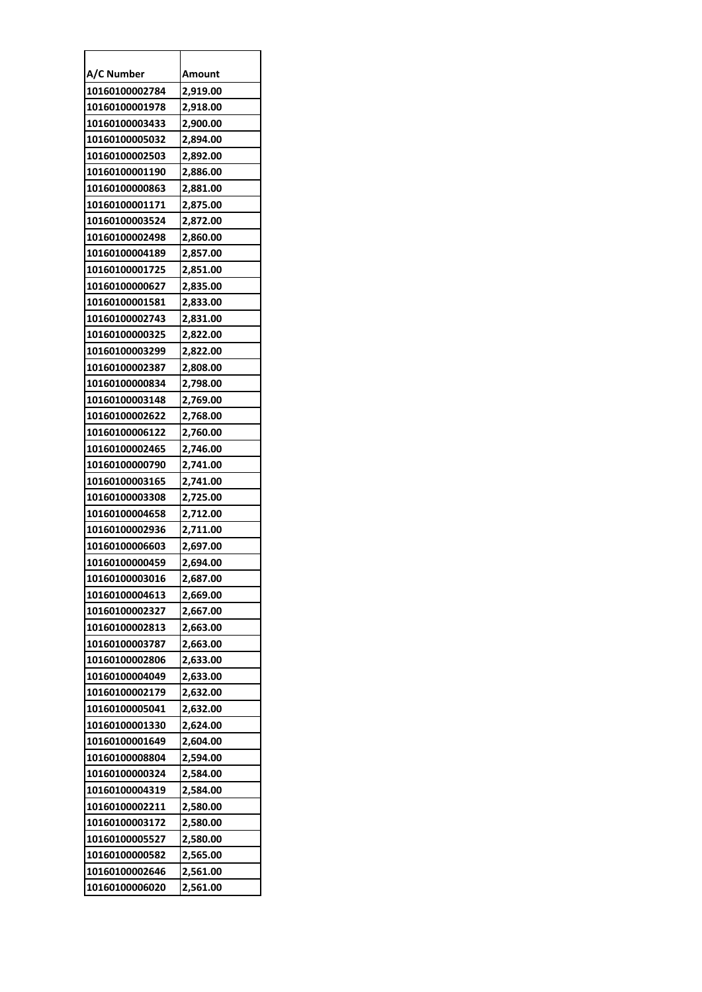| A/C Number     | Amount   |
|----------------|----------|
| 10160100002784 | 2,919.00 |
| 10160100001978 | 2,918.00 |
| 10160100003433 | 2,900.00 |
| 10160100005032 | 2,894.00 |
| 10160100002503 | 2,892.00 |
| 10160100001190 | 2,886.00 |
| 10160100000863 | 2,881.00 |
| 10160100001171 | 2,875.00 |
| 10160100003524 | 2,872.00 |
| 10160100002498 | 2,860.00 |
| 10160100004189 | 2,857.00 |
| 10160100001725 | 2,851.00 |
| 10160100000627 | 2,835.00 |
| 10160100001581 | 2,833.00 |
| 10160100002743 | 2,831.00 |
| 10160100000325 | 2,822.00 |
| 10160100003299 | 2,822.00 |
| 10160100002387 | 2,808.00 |
| 10160100000834 | 2,798.00 |
| 10160100003148 | 2,769.00 |
| 10160100002622 | 2,768.00 |
| 10160100006122 | 2,760.00 |
| 10160100002465 | 2,746.00 |
| 10160100000790 | 2,741.00 |
| 10160100003165 | 2,741.00 |
| 10160100003308 | 2,725.00 |
| 10160100004658 | 2,712.00 |
| 10160100002936 | 2,711.00 |
| 10160100006603 | 2,697.00 |
| 10160100000459 | 2,694.00 |
| 10160100003016 | 2,687.00 |
| 10160100004613 | 2,669.00 |
| 10160100002327 | 2,667.00 |
| 10160100002813 | 2,663.00 |
| 10160100003787 | 2,663.00 |
| 10160100002806 | 2,633.00 |
| 10160100004049 | 2,633.00 |
| 10160100002179 | 2,632.00 |
| 10160100005041 | 2,632.00 |
| 10160100001330 | 2,624.00 |
| 10160100001649 | 2,604.00 |
| 10160100008804 | 2,594.00 |
| 10160100000324 | 2,584.00 |
| 10160100004319 | 2,584.00 |
| 10160100002211 | 2,580.00 |
| 10160100003172 | 2,580.00 |
| 10160100005527 | 2,580.00 |
| 10160100000582 | 2,565.00 |
| 10160100002646 | 2,561.00 |
| 10160100006020 | 2,561.00 |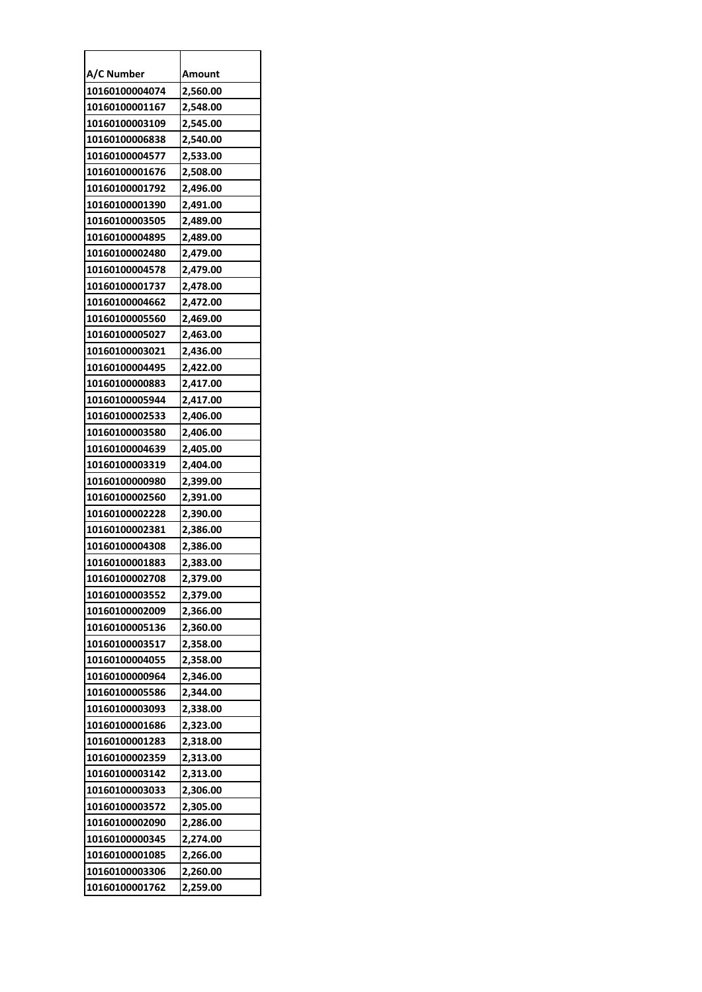| A/C Number     | Amount   |
|----------------|----------|
| 10160100004074 | 2,560.00 |
| 10160100001167 | 2,548.00 |
| 10160100003109 | 2,545.00 |
| 10160100006838 | 2,540.00 |
| 10160100004577 | 2,533.00 |
| 10160100001676 | 2,508.00 |
| 10160100001792 | 2,496.00 |
| 10160100001390 | 2,491.00 |
| 10160100003505 | 2,489.00 |
| 10160100004895 | 2,489.00 |
| 10160100002480 | 2,479.00 |
| 10160100004578 | 2,479.00 |
| 10160100001737 | 2,478.00 |
| 10160100004662 | 2,472.00 |
| 10160100005560 | 2,469.00 |
| 10160100005027 | 2,463.00 |
| 10160100003021 | 2,436.00 |
| 10160100004495 | 2,422.00 |
| 10160100000883 | 2,417.00 |
| 10160100005944 | 2,417.00 |
| 10160100002533 | 2,406.00 |
| 10160100003580 | 2,406.00 |
| 10160100004639 | 2,405.00 |
| 10160100003319 | 2,404.00 |
| 10160100000980 | 2,399.00 |
| 10160100002560 | 2,391.00 |
| 10160100002228 | 2,390.00 |
| 10160100002381 | 2,386.00 |
| 10160100004308 | 2,386.00 |
| 10160100001883 | 2,383.00 |
| 10160100002708 | 2.379.00 |
| 10160100003552 | 2,379.00 |
| 10160100002009 | 2,366.00 |
| 10160100005136 | 2,360.00 |
| 10160100003517 | 2,358.00 |
| 10160100004055 | 2,358.00 |
| 10160100000964 | 2,346.00 |
| 10160100005586 | 2,344.00 |
| 10160100003093 | 2,338.00 |
| 10160100001686 | 2,323.00 |
| 10160100001283 | 2,318.00 |
| 10160100002359 | 2,313.00 |
| 10160100003142 | 2,313.00 |
| 10160100003033 | 2,306.00 |
| 10160100003572 | 2,305.00 |
| 10160100002090 | 2,286.00 |
| 10160100000345 | 2,274.00 |
| 10160100001085 | 2,266.00 |
| 10160100003306 | 2,260.00 |
| 10160100001762 | 2,259.00 |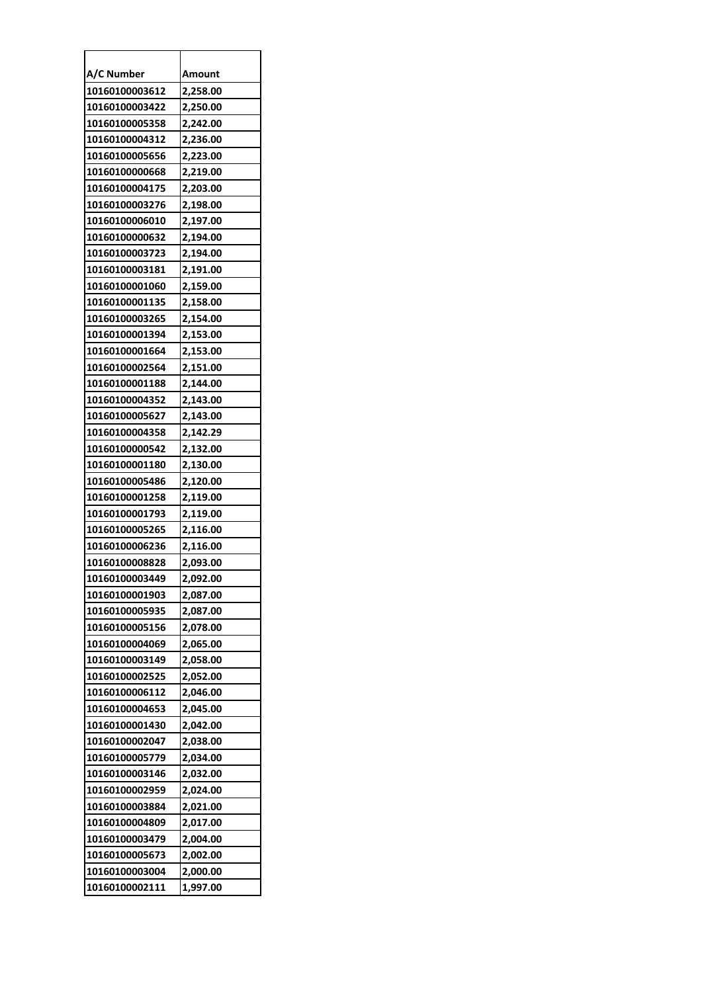| A/C Number     | Amount   |
|----------------|----------|
| 10160100003612 | 2,258.00 |
| 10160100003422 | 2,250.00 |
| 10160100005358 | 2,242.00 |
| 10160100004312 | 2,236.00 |
| 10160100005656 | 2,223.00 |
| 10160100000668 | 2,219.00 |
| 10160100004175 | 2,203.00 |
| 10160100003276 | 2,198.00 |
| 10160100006010 | 2,197.00 |
| 10160100000632 | 2,194.00 |
| 10160100003723 | 2,194.00 |
| 10160100003181 | 2,191.00 |
| 10160100001060 | 2,159.00 |
| 10160100001135 | 2,158.00 |
| 10160100003265 | 2,154.00 |
| 10160100001394 | 2,153.00 |
| 10160100001664 | 2,153.00 |
| 10160100002564 | 2,151.00 |
| 10160100001188 | 2,144.00 |
| 10160100004352 | 2,143.00 |
| 10160100005627 | 2,143.00 |
| 10160100004358 | 2,142.29 |
| 10160100000542 | 2,132.00 |
| 10160100001180 | 2,130.00 |
| 10160100005486 | 2,120.00 |
| 10160100001258 | 2,119.00 |
| 10160100001793 | 2,119.00 |
| 10160100005265 | 2,116.00 |
| 10160100006236 | 2,116.00 |
| 10160100008828 | 2,093.00 |
| 10160100003449 | 2.092.00 |
| 10160100001903 | 2,087.00 |
| 10160100005935 | 2,087.00 |
| 10160100005156 | 2,078.00 |
| 10160100004069 | 2,065.00 |
| 10160100003149 | 2,058.00 |
| 10160100002525 | 2,052.00 |
| 10160100006112 | 2,046.00 |
| 10160100004653 | 2,045.00 |
| 10160100001430 | 2,042.00 |
| 10160100002047 | 2,038.00 |
| 10160100005779 | 2,034.00 |
| 10160100003146 | 2,032.00 |
| 10160100002959 | 2,024.00 |
| 10160100003884 | 2,021.00 |
| 10160100004809 | 2,017.00 |
| 10160100003479 | 2,004.00 |
| 10160100005673 | 2,002.00 |
| 10160100003004 | 2,000.00 |
| 10160100002111 | 1,997.00 |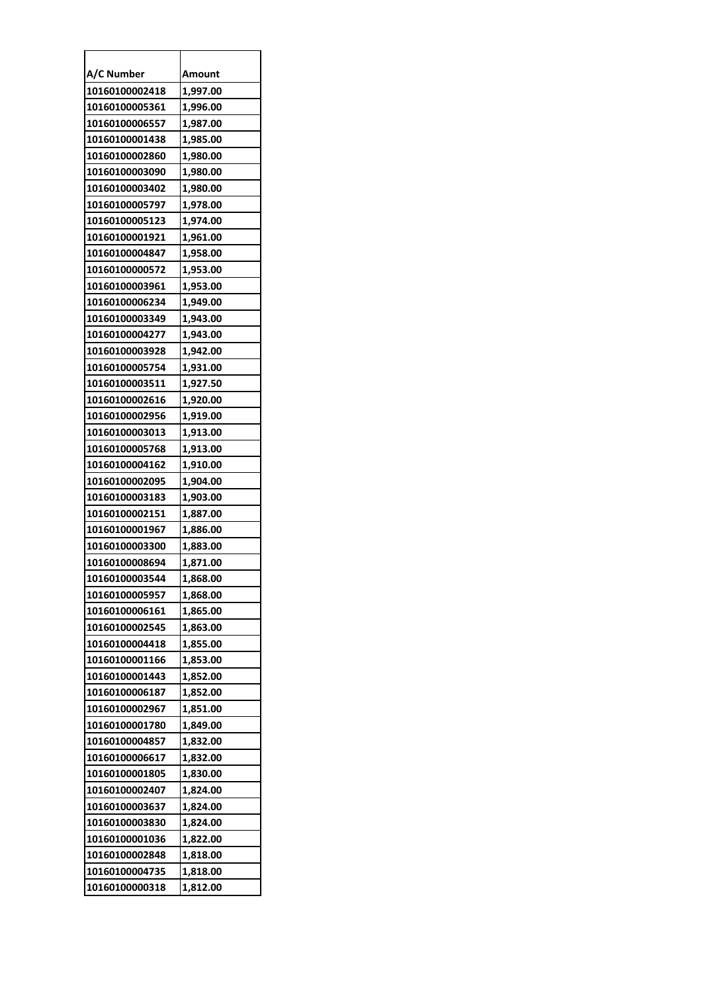| A/C Number     | Amount   |
|----------------|----------|
| 10160100002418 | 1,997.00 |
| 10160100005361 | 1,996.00 |
| 10160100006557 | 1,987.00 |
| 10160100001438 | 1,985.00 |
| 10160100002860 | 1,980.00 |
| 10160100003090 | 1,980.00 |
| 10160100003402 | 1,980.00 |
| 10160100005797 | 1,978.00 |
| 10160100005123 | 1,974.00 |
| 10160100001921 | 1,961.00 |
| 10160100004847 | 1,958.00 |
| 10160100000572 | 1,953.00 |
| 10160100003961 | 1,953.00 |
| 10160100006234 | 1,949.00 |
| 10160100003349 | 1,943.00 |
| 10160100004277 | 1,943.00 |
| 10160100003928 | 1,942.00 |
| 10160100005754 | 1,931.00 |
| 10160100003511 | 1,927.50 |
| 10160100002616 | 1,920.00 |
| 10160100002956 | 1,919.00 |
| 10160100003013 | 1,913.00 |
| 10160100005768 | 1,913.00 |
| 10160100004162 | 1,910.00 |
| 10160100002095 | 1,904.00 |
| 10160100003183 | 1,903.00 |
| 10160100002151 | 1,887.00 |
| 10160100001967 | 1,886.00 |
| 10160100003300 | 1,883.00 |
| 10160100008694 | 1,871.00 |
| 10160100003544 | 1,868.00 |
| 10160100005957 | 1,868.00 |
| 10160100006161 | 1,865.00 |
| 10160100002545 | 1,863.00 |
| 10160100004418 | 1,855.00 |
| 10160100001166 | 1,853.00 |
| 10160100001443 | 1,852.00 |
| 10160100006187 | 1,852.00 |
| 10160100002967 | 1,851.00 |
| 10160100001780 | 1,849.00 |
| 10160100004857 | 1,832.00 |
| 10160100006617 | 1,832.00 |
| 10160100001805 | 1,830.00 |
| 10160100002407 | 1,824.00 |
| 10160100003637 | 1,824.00 |
| 10160100003830 | 1,824.00 |
| 10160100001036 | 1,822.00 |
| 10160100002848 | 1,818.00 |
| 10160100004735 | 1,818.00 |
| 10160100000318 | 1,812.00 |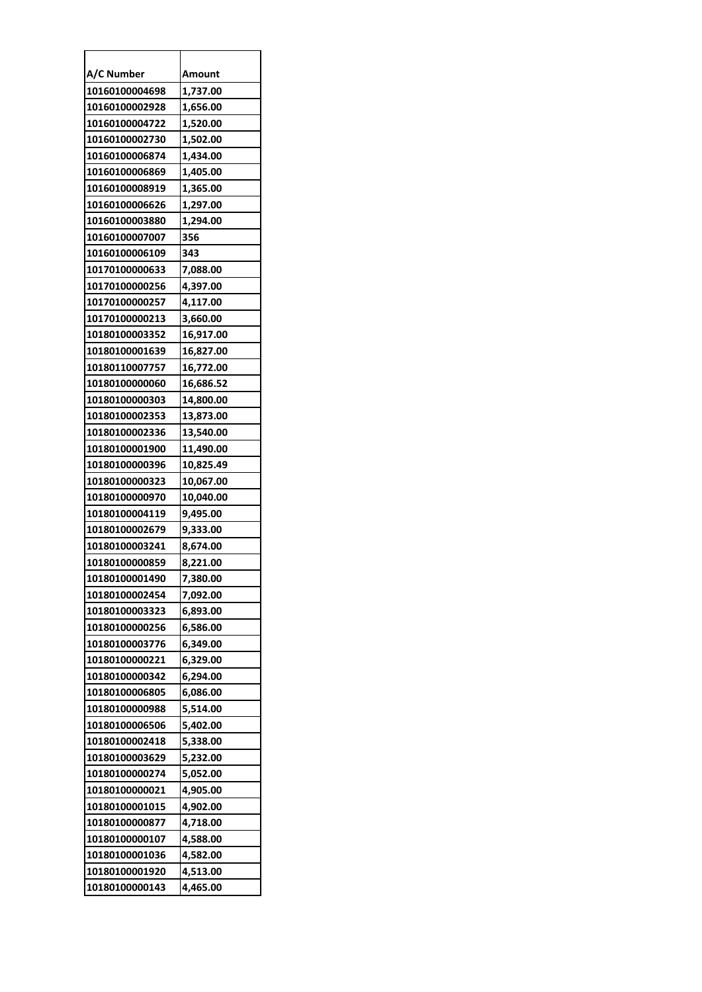| A/C Number     | Amount    |
|----------------|-----------|
| 10160100004698 | 1,737.00  |
| 10160100002928 | 1,656.00  |
| 10160100004722 | 1,520.00  |
| 10160100002730 | 1,502.00  |
| 10160100006874 | 1,434.00  |
| 10160100006869 | 1,405.00  |
| 10160100008919 | 1,365.00  |
| 10160100006626 | 1,297.00  |
| 10160100003880 | 1,294.00  |
| 10160100007007 | 356       |
| 10160100006109 | 343       |
| 10170100000633 | 7,088.00  |
| 10170100000256 | 4,397.00  |
| 10170100000257 | 4,117.00  |
| 10170100000213 | 3,660.00  |
| 10180100003352 | 16,917.00 |
| 10180100001639 | 16,827.00 |
| 10180110007757 | 16,772.00 |
| 10180100000060 | 16,686.52 |
| 10180100000303 | 14,800.00 |
| 10180100002353 | 13,873.00 |
| 10180100002336 | 13,540.00 |
| 10180100001900 | 11,490.00 |
| 10180100000396 | 10,825.49 |
| 10180100000323 | 10,067.00 |
| 10180100000970 | 10,040.00 |
| 10180100004119 | 9,495.00  |
| 10180100002679 | 9,333.00  |
| 10180100003241 | 8,674.00  |
| 10180100000859 | 8,221.00  |
| 10180100001490 | 7,380.00  |
| 10180100002454 | 7,092.00  |
| 10180100003323 | 6,893.00  |
| 10180100000256 | 6,586.00  |
| 10180100003776 | 6,349.00  |
| 10180100000221 | 6,329.00  |
| 10180100000342 | 6,294.00  |
| 10180100006805 | 6,086.00  |
| 10180100000988 | 5,514.00  |
| 10180100006506 | 5,402.00  |
| 10180100002418 | 5,338.00  |
| 10180100003629 | 5,232.00  |
| 10180100000274 | 5,052.00  |
| 10180100000021 | 4,905.00  |
| 10180100001015 | 4,902.00  |
| 10180100000877 | 4,718.00  |
| 10180100000107 | 4,588.00  |
| 10180100001036 | 4,582.00  |
| 10180100001920 | 4,513.00  |
| 10180100000143 | 4,465.00  |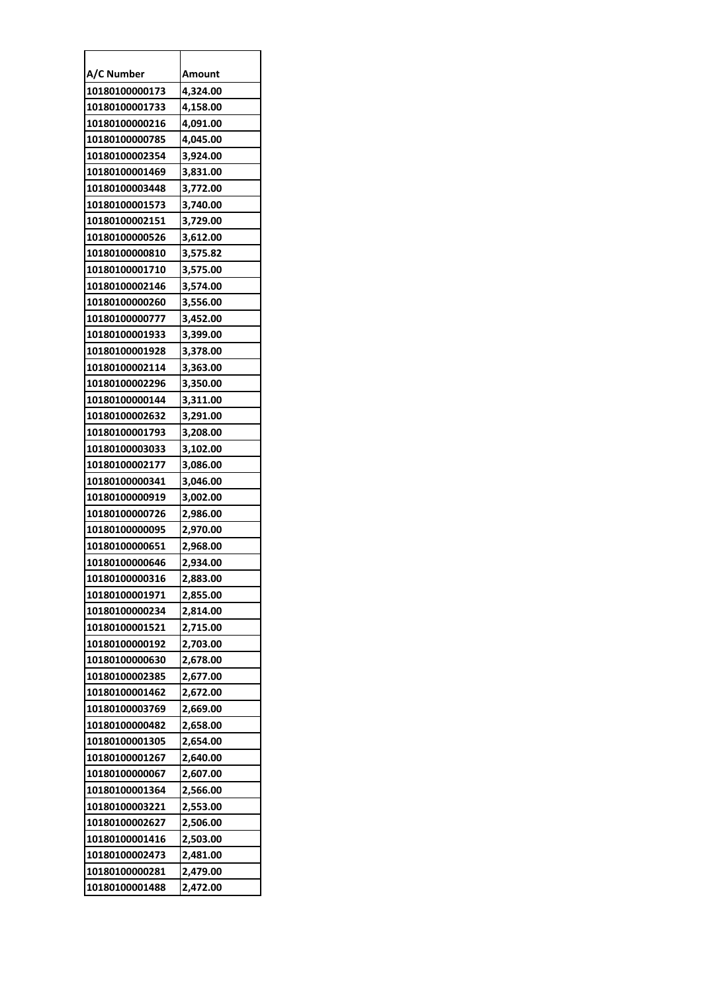| A/C Number     | Amount   |
|----------------|----------|
| 10180100000173 | 4,324.00 |
| 10180100001733 | 4,158.00 |
| 10180100000216 | 4,091.00 |
| 10180100000785 | 4,045.00 |
| 10180100002354 | 3,924.00 |
| 10180100001469 | 3,831.00 |
| 10180100003448 | 3,772.00 |
| 10180100001573 | 3,740.00 |
| 10180100002151 | 3,729.00 |
| 10180100000526 | 3,612.00 |
| 10180100000810 | 3,575.82 |
| 10180100001710 | 3,575.00 |
| 10180100002146 | 3,574.00 |
| 10180100000260 | 3,556.00 |
| 10180100000777 | 3,452.00 |
| 10180100001933 | 3,399.00 |
| 10180100001928 | 3,378.00 |
| 10180100002114 | 3,363.00 |
| 10180100002296 | 3,350.00 |
| 10180100000144 | 3,311.00 |
| 10180100002632 | 3,291.00 |
| 10180100001793 | 3,208.00 |
| 10180100003033 | 3,102.00 |
| 10180100002177 | 3,086.00 |
| 10180100000341 | 3,046.00 |
| 10180100000919 | 3,002.00 |
| 10180100000726 | 2,986.00 |
| 10180100000095 | 2,970.00 |
| 10180100000651 | 2,968.00 |
| 10180100000646 | 2,934.00 |
| 10180100000316 | 2,883.00 |
| 10180100001971 | 2,855.00 |
| 10180100000234 | 2,814.00 |
| 10180100001521 | 2,715.00 |
| 10180100000192 | 2,703.00 |
| 10180100000630 | 2,678.00 |
| 10180100002385 | 2,677.00 |
| 10180100001462 | 2,672.00 |
| 10180100003769 | 2,669.00 |
| 10180100000482 | 2,658.00 |
| 10180100001305 | 2,654.00 |
| 10180100001267 | 2,640.00 |
| 10180100000067 | 2,607.00 |
| 10180100001364 | 2,566.00 |
| 10180100003221 | 2,553.00 |
| 10180100002627 | 2,506.00 |
| 10180100001416 | 2,503.00 |
| 10180100002473 | 2,481.00 |
| 10180100000281 | 2,479.00 |
| 10180100001488 | 2,472.00 |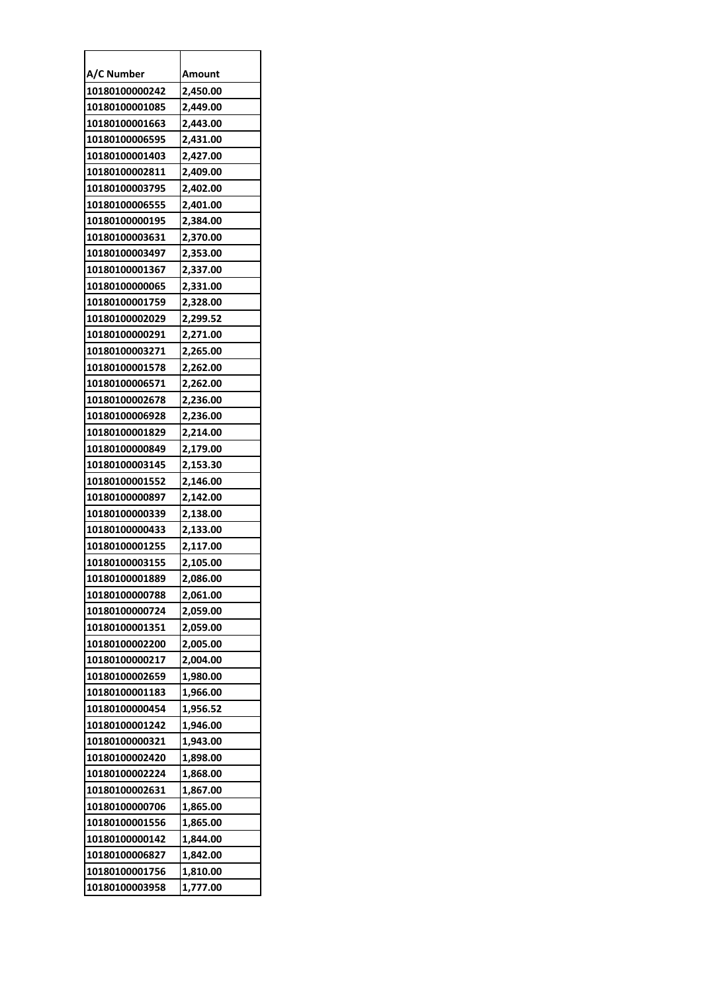| A/C Number     | Amount   |
|----------------|----------|
| 10180100000242 | 2,450.00 |
| 10180100001085 | 2,449.00 |
| 10180100001663 | 2,443.00 |
| 10180100006595 | 2,431.00 |
| 10180100001403 | 2,427.00 |
| 10180100002811 | 2,409.00 |
| 10180100003795 | 2,402.00 |
| 10180100006555 | 2,401.00 |
| 10180100000195 | 2,384.00 |
| 10180100003631 | 2,370.00 |
| 10180100003497 | 2,353.00 |
| 10180100001367 | 2,337.00 |
| 10180100000065 | 2,331.00 |
| 10180100001759 | 2,328.00 |
| 10180100002029 | 2,299.52 |
| 10180100000291 | 2,271.00 |
| 10180100003271 | 2,265.00 |
| 10180100001578 | 2,262.00 |
| 10180100006571 | 2,262.00 |
| 10180100002678 | 2,236.00 |
| 10180100006928 | 2,236.00 |
| 10180100001829 | 2,214.00 |
| 10180100000849 | 2,179.00 |
| 10180100003145 | 2,153.30 |
| 10180100001552 | 2,146.00 |
| 10180100000897 | 2,142.00 |
| 10180100000339 | 2,138.00 |
| 10180100000433 | 2,133.00 |
| 10180100001255 | 2,117.00 |
| 10180100003155 | 2,105.00 |
| 10180100001889 | 2.086.00 |
| 10180100000788 | 2,061.00 |
| 10180100000724 | 2,059.00 |
| 10180100001351 | 2,059.00 |
| 10180100002200 | 2,005.00 |
| 10180100000217 | 2,004.00 |
| 10180100002659 | 1,980.00 |
| 10180100001183 | 1,966.00 |
| 10180100000454 | 1,956.52 |
| 10180100001242 | 1,946.00 |
| 10180100000321 | 1,943.00 |
| 10180100002420 | 1,898.00 |
| 10180100002224 | 1,868.00 |
| 10180100002631 | 1,867.00 |
| 10180100000706 | 1,865.00 |
| 10180100001556 | 1,865.00 |
| 10180100000142 | 1,844.00 |
| 10180100006827 | 1,842.00 |
| 10180100001756 | 1,810.00 |
| 10180100003958 | 1,777.00 |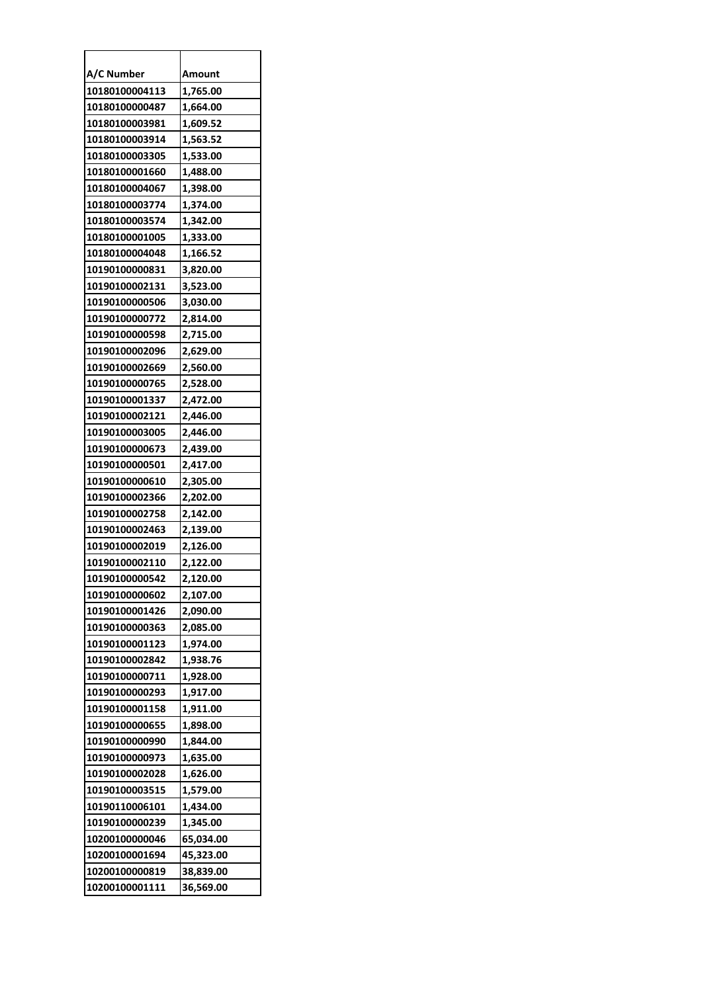| A/C Number     | Amount    |
|----------------|-----------|
| 10180100004113 | 1,765.00  |
| 10180100000487 | 1,664.00  |
| 10180100003981 | 1,609.52  |
| 10180100003914 | 1,563.52  |
| 10180100003305 | 1,533.00  |
| 10180100001660 | 1,488.00  |
| 10180100004067 | 1,398.00  |
| 10180100003774 | 1,374.00  |
| 10180100003574 | 1,342.00  |
| 10180100001005 | 1,333.00  |
| 10180100004048 | 1,166.52  |
| 10190100000831 | 3,820.00  |
| 10190100002131 | 3,523.00  |
| 10190100000506 | 3,030.00  |
| 10190100000772 | 2,814.00  |
| 10190100000598 | 2,715.00  |
| 10190100002096 | 2,629.00  |
| 10190100002669 | 2,560.00  |
| 10190100000765 | 2,528.00  |
| 10190100001337 | 2,472.00  |
| 10190100002121 | 2,446.00  |
| 10190100003005 | 2,446.00  |
| 10190100000673 | 2,439.00  |
| 10190100000501 | 2,417.00  |
| 10190100000610 | 2,305.00  |
| 10190100002366 | 2,202.00  |
| 10190100002758 | 2,142.00  |
| 10190100002463 | 2,139.00  |
| 10190100002019 | 2,126.00  |
| 10190100002110 | 2,122.00  |
| 10190100000542 | 2.120.00  |
| 10190100000602 | 2,107.00  |
| 10190100001426 | 2,090.00  |
| 10190100000363 | 2,085.00  |
| 10190100001123 | 1,974.00  |
| 10190100002842 | 1,938.76  |
| 10190100000711 | 1,928.00  |
| 10190100000293 | 1,917.00  |
| 10190100001158 | 1,911.00  |
| 10190100000655 | 1,898.00  |
| 10190100000990 | 1,844.00  |
| 10190100000973 | 1,635.00  |
| 10190100002028 | 1,626.00  |
| 10190100003515 | 1,579.00  |
| 10190110006101 | 1,434.00  |
| 10190100000239 | 1,345.00  |
| 10200100000046 | 65,034.00 |
| 10200100001694 | 45,323.00 |
| 10200100000819 | 38,839.00 |
| 10200100001111 | 36,569.00 |
|                |           |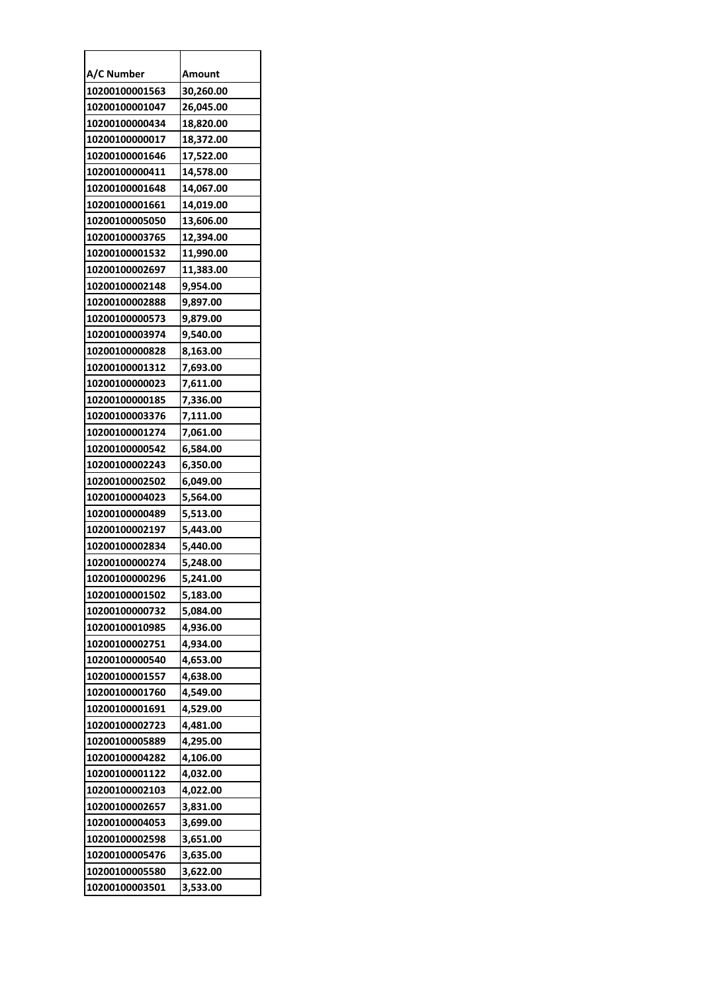| A/C Number     | Amount    |
|----------------|-----------|
| 10200100001563 | 30,260.00 |
| 10200100001047 | 26,045.00 |
| 10200100000434 | 18,820.00 |
| 10200100000017 | 18,372.00 |
| 10200100001646 | 17,522.00 |
| 10200100000411 | 14,578.00 |
| 10200100001648 | 14,067.00 |
| 10200100001661 | 14,019.00 |
| 10200100005050 | 13,606.00 |
| 10200100003765 | 12,394.00 |
| 10200100001532 | 11,990.00 |
| 10200100002697 | 11,383.00 |
| 10200100002148 | 9,954.00  |
| 10200100002888 | 9,897.00  |
| 10200100000573 | 9,879.00  |
| 10200100003974 | 9,540.00  |
| 10200100000828 | 8,163.00  |
| 10200100001312 | 7,693.00  |
| 10200100000023 | 7,611.00  |
| 10200100000185 | 7,336.00  |
| 10200100003376 | 7,111.00  |
| 10200100001274 | 7,061.00  |
| 10200100000542 | 6,584.00  |
| 10200100002243 | 6,350.00  |
| 10200100002502 | 6,049.00  |
| 10200100004023 | 5,564.00  |
| 10200100000489 | 5,513.00  |
| 10200100002197 | 5,443.00  |
| 10200100002834 | 5,440.00  |
| 10200100000274 | 5,248.00  |
| 10200100000296 | 5,241.00  |
| 10200100001502 | 5,183.00  |
| 10200100000732 | 5,084.00  |
| 10200100010985 | 4,936.00  |
| 10200100002751 | 4,934.00  |
| 10200100000540 | 4,653.00  |
| 10200100001557 | 4,638.00  |
| 10200100001760 | 4,549.00  |
| 10200100001691 | 4,529.00  |
| 10200100002723 | 4,481.00  |
| 10200100005889 | 4,295.00  |
| 10200100004282 | 4,106.00  |
| 10200100001122 | 4,032.00  |
| 10200100002103 | 4,022.00  |
| 10200100002657 | 3,831.00  |
| 10200100004053 | 3,699.00  |
| 10200100002598 | 3,651.00  |
| 10200100005476 | 3,635.00  |
| 10200100005580 | 3,622.00  |
| 10200100003501 | 3,533.00  |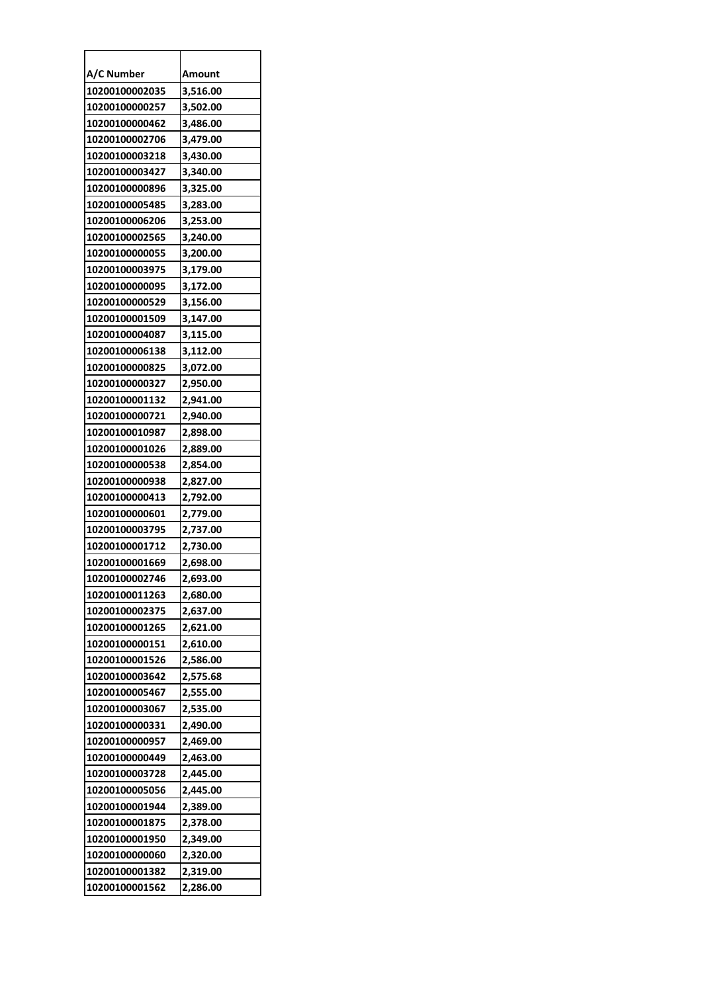| A/C Number     | Amount   |
|----------------|----------|
| 10200100002035 | 3,516.00 |
| 10200100000257 | 3,502.00 |
| 10200100000462 | 3,486.00 |
| 10200100002706 | 3,479.00 |
| 10200100003218 | 3,430.00 |
| 10200100003427 | 3,340.00 |
| 10200100000896 | 3,325.00 |
| 10200100005485 | 3,283.00 |
| 10200100006206 | 3,253.00 |
| 10200100002565 | 3,240.00 |
| 10200100000055 | 3,200.00 |
| 10200100003975 | 3,179.00 |
| 10200100000095 | 3,172.00 |
| 10200100000529 | 3,156.00 |
| 10200100001509 | 3,147.00 |
| 10200100004087 | 3,115.00 |
| 10200100006138 | 3,112.00 |
| 10200100000825 | 3,072.00 |
| 10200100000327 | 2,950.00 |
| 10200100001132 | 2,941.00 |
| 10200100000721 | 2,940.00 |
| 10200100010987 | 2,898.00 |
| 10200100001026 | 2,889.00 |
| 10200100000538 | 2,854.00 |
| 10200100000938 | 2,827.00 |
| 10200100000413 | 2,792.00 |
| 10200100000601 | 2,779.00 |
| 10200100003795 | 2,737.00 |
| 10200100001712 | 2,730.00 |
| 10200100001669 | 2,698.00 |
| 10200100002746 | 2,693.00 |
| 10200100011263 | 2,680.00 |
| 10200100002375 | 2,637.00 |
| 10200100001265 | 2,621.00 |
| 10200100000151 | 2,610.00 |
| 10200100001526 | 2,586.00 |
| 10200100003642 | 2,575.68 |
| 10200100005467 | 2,555.00 |
| 10200100003067 | 2,535.00 |
| 10200100000331 | 2,490.00 |
| 10200100000957 | 2,469.00 |
| 10200100000449 | 2,463.00 |
| 10200100003728 | 2,445.00 |
| 10200100005056 | 2,445.00 |
| 10200100001944 | 2,389.00 |
| 10200100001875 | 2,378.00 |
| 10200100001950 | 2,349.00 |
| 10200100000060 | 2,320.00 |
| 10200100001382 | 2,319.00 |
| 10200100001562 | 2,286.00 |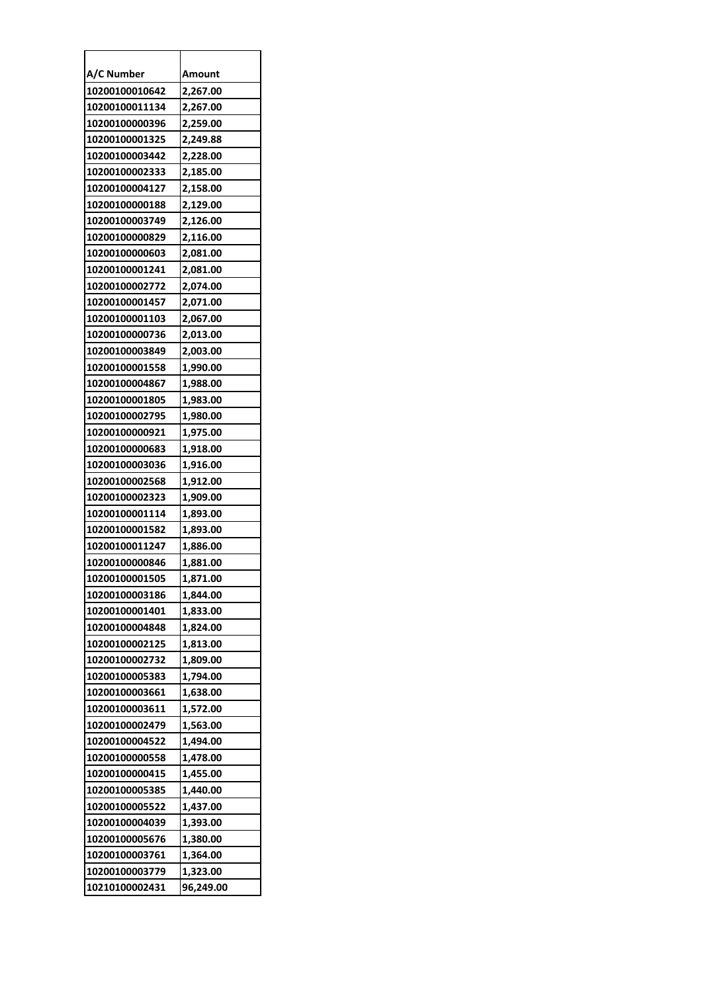| A/C Number     | Amount    |
|----------------|-----------|
| 10200100010642 | 2,267.00  |
| 10200100011134 | 2,267.00  |
| 10200100000396 | 2,259.00  |
| 10200100001325 | 2,249.88  |
| 10200100003442 | 2,228.00  |
| 10200100002333 | 2,185.00  |
| 10200100004127 | 2,158.00  |
| 10200100000188 | 2,129.00  |
| 10200100003749 | 2,126.00  |
| 10200100000829 | 2,116.00  |
| 10200100000603 | 2,081.00  |
| 10200100001241 | 2,081.00  |
| 10200100002772 | 2,074.00  |
| 10200100001457 | 2,071.00  |
| 10200100001103 | 2,067.00  |
| 10200100000736 | 2,013.00  |
| 10200100003849 | 2,003.00  |
| 10200100001558 | 1,990.00  |
| 10200100004867 | 1,988.00  |
| 10200100001805 | 1,983.00  |
| 10200100002795 | 1,980.00  |
| 10200100000921 | 1,975.00  |
| 10200100000683 | 1,918.00  |
| 10200100003036 | 1,916.00  |
| 10200100002568 | 1,912.00  |
| 10200100002323 | 1,909.00  |
| 10200100001114 | 1,893.00  |
| 10200100001582 | 1,893.00  |
| 10200100011247 | 1,886.00  |
| 10200100000846 | 1,881.00  |
| 10200100001505 | 1,871.00  |
| 10200100003186 | 1,844.00  |
| 10200100001401 | 1,833.00  |
| 10200100004848 | 1,824.00  |
| 10200100002125 | 1,813.00  |
| 10200100002732 | 1,809.00  |
| 10200100005383 | 1,794.00  |
| 10200100003661 | 1,638.00  |
| 10200100003611 | 1,572.00  |
| 10200100002479 | 1,563.00  |
| 10200100004522 | 1,494.00  |
| 10200100000558 | 1,478.00  |
| 10200100000415 | 1,455.00  |
| 10200100005385 | 1,440.00  |
| 10200100005522 | 1,437.00  |
| 10200100004039 | 1,393.00  |
| 10200100005676 | 1,380.00  |
| 10200100003761 | 1,364.00  |
| 10200100003779 | 1,323.00  |
| 10210100002431 | 96,249.00 |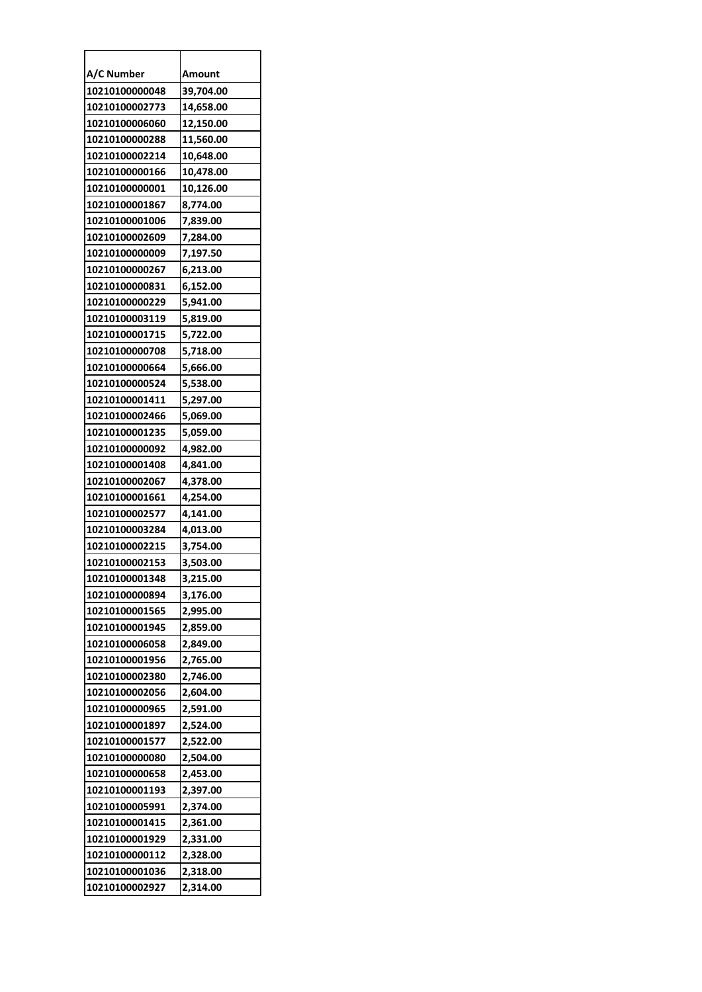| A/C Number     | Amount    |
|----------------|-----------|
| 10210100000048 | 39,704.00 |
| 10210100002773 | 14,658.00 |
| 10210100006060 | 12,150.00 |
| 10210100000288 | 11,560.00 |
| 10210100002214 | 10,648.00 |
| 10210100000166 | 10,478.00 |
| 10210100000001 | 10,126.00 |
| 10210100001867 | 8,774.00  |
| 10210100001006 | 7,839.00  |
| 10210100002609 | 7,284.00  |
| 10210100000009 | 7,197.50  |
| 10210100000267 | 6,213.00  |
| 10210100000831 | 6,152.00  |
| 10210100000229 | 5,941.00  |
| 10210100003119 | 5,819.00  |
| 10210100001715 | 5,722.00  |
| 10210100000708 | 5,718.00  |
| 10210100000664 | 5,666.00  |
| 10210100000524 | 5,538.00  |
| 10210100001411 | 5,297.00  |
| 10210100002466 | 5,069.00  |
| 10210100001235 | 5,059.00  |
| 10210100000092 | 4,982.00  |
| 10210100001408 | 4,841.00  |
| 10210100002067 | 4,378.00  |
| 10210100001661 | 4,254.00  |
| 10210100002577 | 4,141.00  |
| 10210100003284 | 4,013.00  |
| 10210100002215 | 3,754.00  |
| 10210100002153 | 3,503.00  |
| 10210100001348 | 3,215.00  |
| 10210100000894 | 3,176.00  |
| 10210100001565 | 2,995.00  |
| 10210100001945 | 2,859.00  |
| 10210100006058 | 2,849.00  |
| 10210100001956 | 2,765.00  |
| 10210100002380 | 2,746.00  |
| 10210100002056 | 2,604.00  |
| 10210100000965 | 2,591.00  |
| 10210100001897 | 2,524.00  |
| 10210100001577 | 2,522.00  |
| 10210100000080 | 2,504.00  |
| 10210100000658 | 2,453.00  |
| 10210100001193 | 2,397.00  |
| 10210100005991 | 2,374.00  |
| 10210100001415 | 2,361.00  |
| 10210100001929 | 2,331.00  |
| 10210100000112 | 2,328.00  |
| 10210100001036 | 2,318.00  |
| 10210100002927 | 2,314.00  |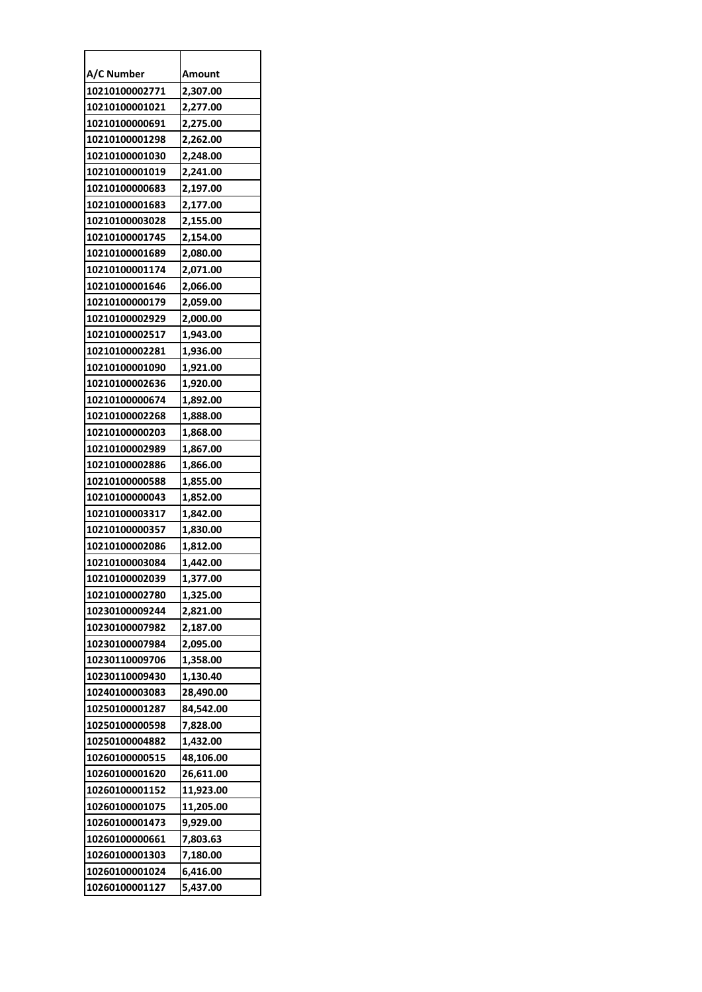| A/C Number     | Amount    |
|----------------|-----------|
| 10210100002771 | 2,307.00  |
| 10210100001021 | 2,277.00  |
| 10210100000691 | 2,275.00  |
| 10210100001298 | 2,262.00  |
| 10210100001030 | 2,248.00  |
| 10210100001019 | 2,241.00  |
| 10210100000683 | 2,197.00  |
| 10210100001683 | 2,177.00  |
| 10210100003028 | 2,155.00  |
| 10210100001745 | 2,154.00  |
| 10210100001689 | 2,080.00  |
| 10210100001174 | 2,071.00  |
| 10210100001646 | 2,066.00  |
| 10210100000179 | 2,059.00  |
| 10210100002929 | 2,000.00  |
| 10210100002517 | 1,943.00  |
| 10210100002281 | 1,936.00  |
| 10210100001090 | 1,921.00  |
| 10210100002636 | 1,920.00  |
| 10210100000674 | 1,892.00  |
| 10210100002268 | 1,888.00  |
| 10210100000203 | 1,868.00  |
| 10210100002989 | 1,867.00  |
| 10210100002886 | 1,866.00  |
| 10210100000588 | 1,855.00  |
| 10210100000043 | 1,852.00  |
| 10210100003317 | 1,842.00  |
| 10210100000357 | 1,830.00  |
| 10210100002086 | 1,812.00  |
| 10210100003084 | 1,442.00  |
| 10210100002039 | 1,377.00  |
| 10210100002780 | 1,325.00  |
| 10230100009244 | 2,821.00  |
| 10230100007982 | 2,187.00  |
| 10230100007984 | 2,095.00  |
| 10230110009706 | 1,358.00  |
| 10230110009430 | 1,130.40  |
| 10240100003083 | 28,490.00 |
| 10250100001287 | 84,542.00 |
| 10250100000598 | 7,828.00  |
| 10250100004882 | 1,432.00  |
| 10260100000515 | 48,106.00 |
| 10260100001620 | 26,611.00 |
| 10260100001152 | 11,923.00 |
| 10260100001075 | 11,205.00 |
| 10260100001473 | 9,929.00  |
| 10260100000661 | 7,803.63  |
| 10260100001303 | 7,180.00  |
| 10260100001024 | 6,416.00  |
| 10260100001127 | 5,437.00  |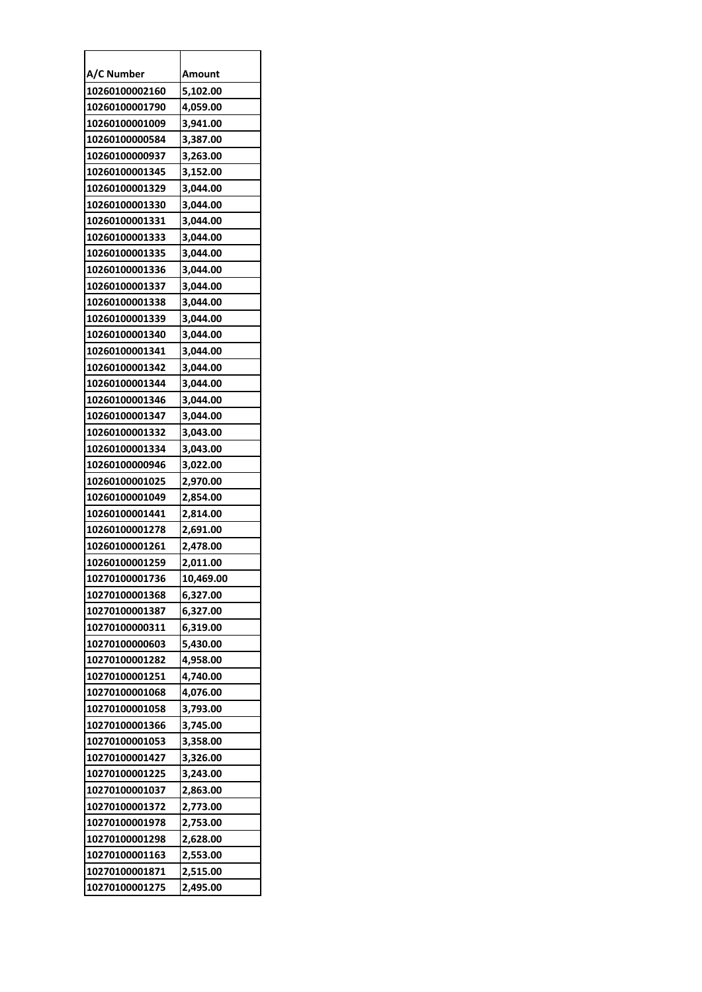| A/C Number     | Amount    |
|----------------|-----------|
| 10260100002160 | 5,102.00  |
| 10260100001790 | 4,059.00  |
| 10260100001009 | 3,941.00  |
| 10260100000584 | 3,387.00  |
| 10260100000937 | 3,263.00  |
| 10260100001345 | 3,152.00  |
| 10260100001329 | 3,044.00  |
| 10260100001330 | 3,044.00  |
| 10260100001331 | 3,044.00  |
| 10260100001333 | 3,044.00  |
| 10260100001335 | 3,044.00  |
| 10260100001336 | 3,044.00  |
| 10260100001337 | 3,044.00  |
| 10260100001338 | 3,044.00  |
| 10260100001339 | 3,044.00  |
| 10260100001340 | 3,044.00  |
| 10260100001341 | 3,044.00  |
| 10260100001342 | 3,044.00  |
| 10260100001344 | 3,044.00  |
| 10260100001346 | 3,044.00  |
| 10260100001347 | 3,044.00  |
| 10260100001332 | 3,043.00  |
| 10260100001334 | 3,043.00  |
| 10260100000946 | 3,022.00  |
| 10260100001025 | 2,970.00  |
| 10260100001049 | 2,854.00  |
| 10260100001441 | 2,814.00  |
| 10260100001278 | 2,691.00  |
| 10260100001261 | 2,478.00  |
| 10260100001259 | 2,011.00  |
| 10270100001736 | 10,469.00 |
| 10270100001368 | 6,327.00  |
| 10270100001387 | 6,327.00  |
| 10270100000311 | 6,319.00  |
| 10270100000603 | 5,430.00  |
| 10270100001282 | 4,958.00  |
| 10270100001251 | 4,740.00  |
| 10270100001068 | 4,076.00  |
| 10270100001058 | 3,793.00  |
| 10270100001366 | 3,745.00  |
| 10270100001053 | 3,358.00  |
| 10270100001427 | 3,326.00  |
| 10270100001225 | 3,243.00  |
| 10270100001037 | 2,863.00  |
| 10270100001372 | 2,773.00  |
| 10270100001978 | 2,753.00  |
| 10270100001298 | 2,628.00  |
| 10270100001163 | 2,553.00  |
| 10270100001871 | 2,515.00  |
| 10270100001275 | 2,495.00  |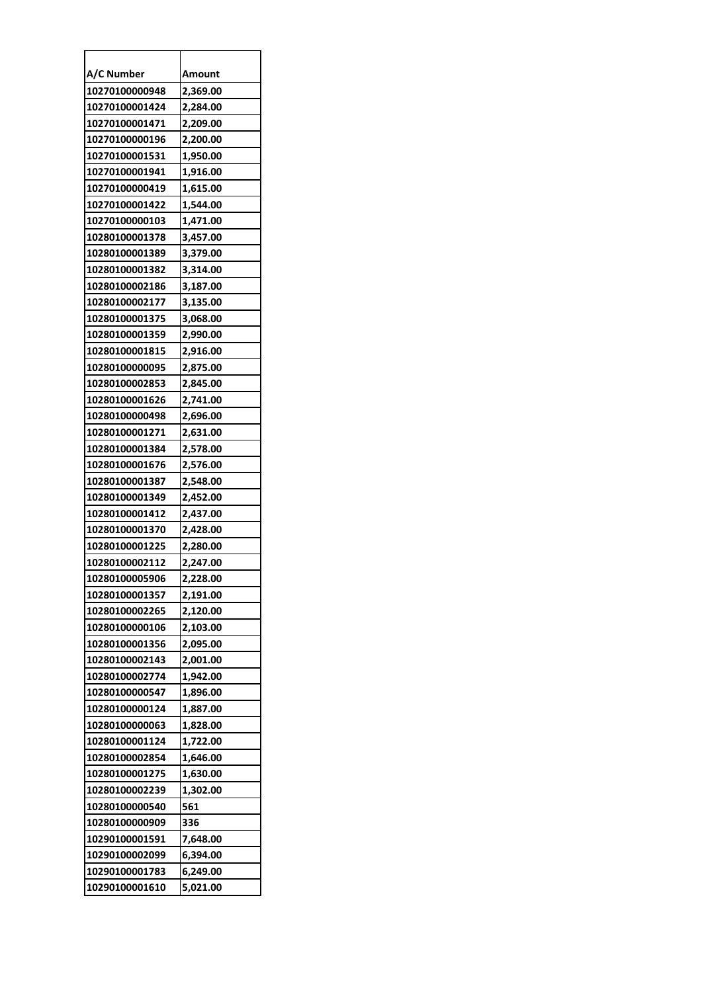| A/C Number     | Amount   |
|----------------|----------|
| 10270100000948 | 2,369.00 |
| 10270100001424 | 2,284.00 |
| 10270100001471 | 2,209.00 |
| 10270100000196 | 2,200.00 |
| 10270100001531 | 1,950.00 |
| 10270100001941 | 1,916.00 |
| 10270100000419 | 1,615.00 |
| 10270100001422 | 1,544.00 |
| 10270100000103 | 1,471.00 |
| 10280100001378 | 3,457.00 |
| 10280100001389 | 3,379.00 |
| 10280100001382 | 3,314.00 |
| 10280100002186 | 3,187.00 |
| 10280100002177 | 3,135.00 |
| 10280100001375 | 3,068.00 |
| 10280100001359 | 2,990.00 |
| 10280100001815 | 2,916.00 |
| 10280100000095 | 2,875.00 |
| 10280100002853 | 2,845.00 |
| 10280100001626 | 2,741.00 |
| 10280100000498 | 2,696.00 |
| 10280100001271 | 2,631.00 |
| 10280100001384 | 2,578.00 |
| 10280100001676 | 2,576.00 |
| 10280100001387 | 2,548.00 |
| 10280100001349 | 2,452.00 |
| 10280100001412 | 2,437.00 |
| 10280100001370 | 2,428.00 |
| 10280100001225 | 2,280.00 |
| 10280100002112 | 2,247.00 |
| 10280100005906 | 2,228.00 |
| 10280100001357 | 2,191.00 |
| 10280100002265 | 2,120.00 |
| 10280100000106 | 2,103.00 |
| 10280100001356 | 2,095.00 |
| 10280100002143 | 2,001.00 |
| 10280100002774 | 1,942.00 |
| 10280100000547 | 1,896.00 |
| 10280100000124 | 1,887.00 |
| 10280100000063 | 1,828.00 |
| 10280100001124 | 1,722.00 |
| 10280100002854 | 1,646.00 |
| 10280100001275 | 1,630.00 |
| 10280100002239 | 1,302.00 |
| 10280100000540 | 561      |
| 10280100000909 | 336      |
| 10290100001591 | 7,648.00 |
| 10290100002099 | 6,394.00 |
| 10290100001783 | 6,249.00 |
| 10290100001610 | 5,021.00 |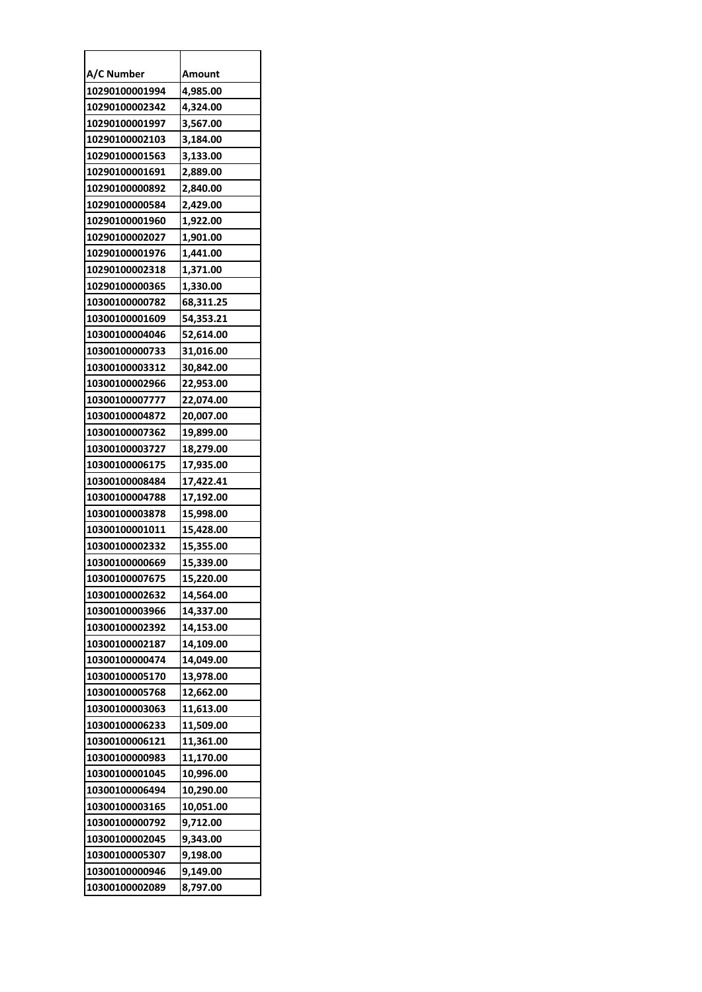| A/C Number     | Amount    |
|----------------|-----------|
| 10290100001994 | 4,985.00  |
| 10290100002342 | 4,324.00  |
| 10290100001997 | 3,567.00  |
| 10290100002103 | 3,184.00  |
| 10290100001563 | 3,133.00  |
| 10290100001691 | 2,889.00  |
| 10290100000892 | 2,840.00  |
| 10290100000584 | 2,429.00  |
| 10290100001960 | 1,922.00  |
| 10290100002027 | 1,901.00  |
| 10290100001976 | 1,441.00  |
| 10290100002318 | 1,371.00  |
| 10290100000365 | 1,330.00  |
| 10300100000782 | 68,311.25 |
| 10300100001609 | 54,353.21 |
| 10300100004046 | 52,614.00 |
| 10300100000733 | 31,016.00 |
| 10300100003312 | 30,842.00 |
| 10300100002966 | 22,953.00 |
| 10300100007777 | 22,074.00 |
| 10300100004872 | 20,007.00 |
| 10300100007362 | 19,899.00 |
| 10300100003727 | 18,279.00 |
| 10300100006175 | 17,935.00 |
| 10300100008484 | 17,422.41 |
| 10300100004788 | 17,192.00 |
| 10300100003878 | 15,998.00 |
| 10300100001011 | 15,428.00 |
| 10300100002332 | 15,355.00 |
| 10300100000669 | 15,339.00 |
| 10300100007675 | 15.220.00 |
| 10300100002632 | 14,564.00 |
| 10300100003966 | 14,337.00 |
| 10300100002392 | 14,153.00 |
| 10300100002187 | 14,109.00 |
| 10300100000474 | 14,049.00 |
| 10300100005170 | 13,978.00 |
| 10300100005768 | 12,662.00 |
| 10300100003063 | 11,613.00 |
| 10300100006233 | 11,509.00 |
| 10300100006121 | 11,361.00 |
| 10300100000983 | 11,170.00 |
| 10300100001045 | 10,996.00 |
| 10300100006494 | 10,290.00 |
| 10300100003165 | 10,051.00 |
| 10300100000792 | 9,712.00  |
| 10300100002045 | 9,343.00  |
| 10300100005307 | 9,198.00  |
| 10300100000946 | 9,149.00  |
| 10300100002089 | 8,797.00  |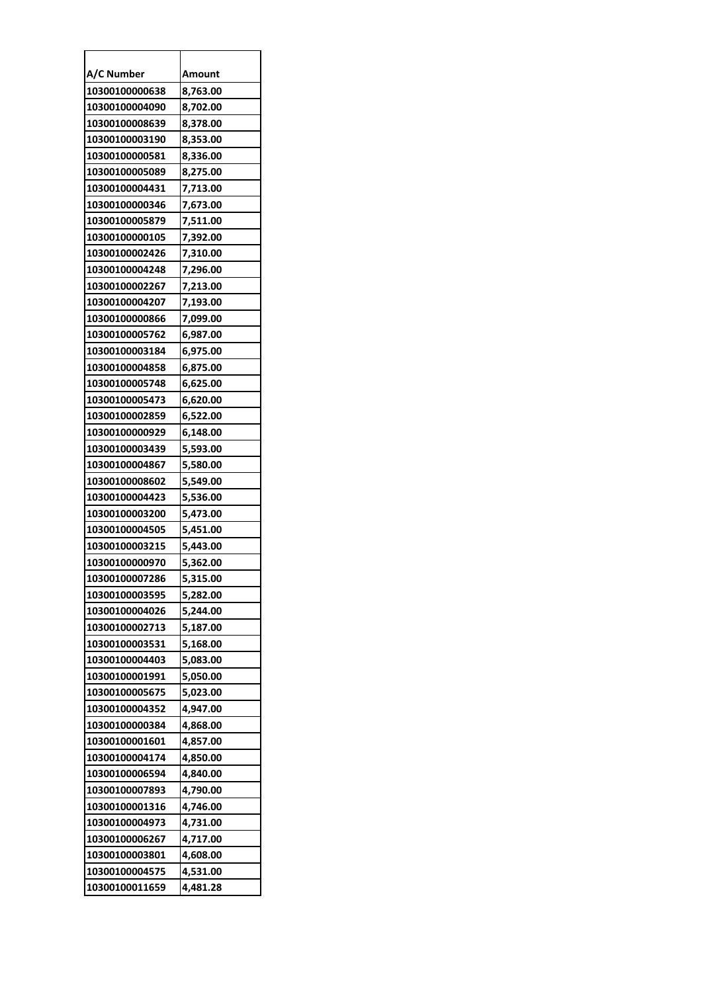| A/C Number     | Amount   |
|----------------|----------|
| 10300100000638 | 8,763.00 |
| 10300100004090 | 8,702.00 |
| 10300100008639 | 8,378.00 |
| 10300100003190 | 8,353.00 |
| 10300100000581 | 8,336.00 |
| 10300100005089 | 8,275.00 |
| 10300100004431 | 7,713.00 |
| 10300100000346 | 7,673.00 |
| 10300100005879 | 7,511.00 |
| 10300100000105 | 7,392.00 |
| 10300100002426 | 7,310.00 |
| 10300100004248 | 7,296.00 |
| 10300100002267 | 7,213.00 |
| 10300100004207 | 7,193.00 |
| 10300100000866 | 7,099.00 |
| 10300100005762 | 6,987.00 |
| 10300100003184 | 6,975.00 |
| 10300100004858 | 6,875.00 |
| 10300100005748 | 6,625.00 |
| 10300100005473 | 6,620.00 |
| 10300100002859 | 6,522.00 |
| 10300100000929 | 6,148.00 |
| 10300100003439 | 5,593.00 |
| 10300100004867 | 5,580.00 |
| 10300100008602 | 5,549.00 |
| 10300100004423 | 5,536.00 |
| 10300100003200 | 5,473.00 |
| 10300100004505 | 5,451.00 |
| 10300100003215 | 5,443.00 |
| 10300100000970 | 5,362.00 |
| 10300100007286 | 5.315.00 |
| 10300100003595 | 5,282.00 |
| 10300100004026 | 5,244.00 |
| 10300100002713 | 5,187.00 |
| 10300100003531 | 5,168.00 |
| 10300100004403 | 5,083.00 |
| 10300100001991 | 5,050.00 |
| 10300100005675 | 5,023.00 |
| 10300100004352 | 4,947.00 |
| 10300100000384 | 4,868.00 |
| 10300100001601 | 4,857.00 |
| 10300100004174 | 4,850.00 |
| 10300100006594 | 4,840.00 |
| 10300100007893 | 4,790.00 |
| 10300100001316 | 4,746.00 |
| 10300100004973 | 4,731.00 |
| 10300100006267 | 4,717.00 |
| 10300100003801 | 4,608.00 |
| 10300100004575 | 4,531.00 |
| 10300100011659 | 4,481.28 |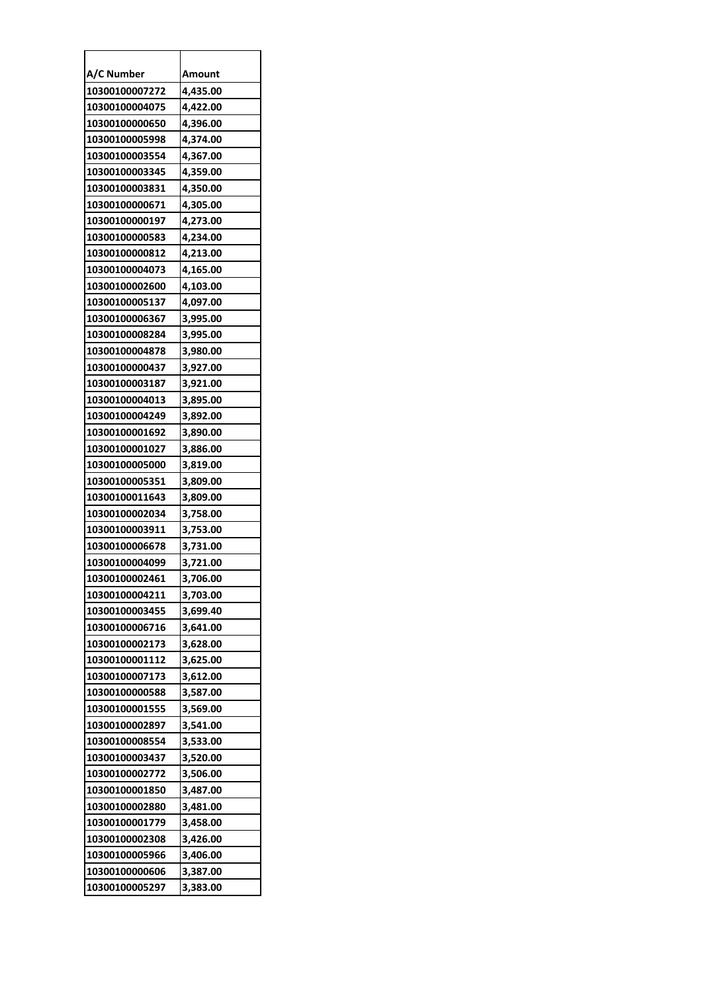| A/C Number     | Amount   |
|----------------|----------|
| 10300100007272 | 4,435.00 |
| 10300100004075 | 4,422.00 |
| 10300100000650 | 4,396.00 |
| 10300100005998 | 4,374.00 |
| 10300100003554 | 4,367.00 |
| 10300100003345 | 4,359.00 |
| 10300100003831 | 4,350.00 |
| 10300100000671 | 4,305.00 |
| 10300100000197 | 4,273.00 |
| 10300100000583 | 4,234.00 |
| 10300100000812 | 4,213.00 |
| 10300100004073 | 4,165.00 |
| 10300100002600 | 4,103.00 |
| 10300100005137 | 4,097.00 |
| 10300100006367 | 3,995.00 |
| 10300100008284 | 3,995.00 |
| 10300100004878 | 3,980.00 |
| 10300100000437 | 3,927.00 |
| 10300100003187 | 3,921.00 |
| 10300100004013 | 3,895.00 |
| 10300100004249 | 3,892.00 |
| 10300100001692 | 3,890.00 |
| 10300100001027 | 3,886.00 |
| 10300100005000 | 3,819.00 |
| 10300100005351 | 3,809.00 |
| 10300100011643 | 3,809.00 |
| 10300100002034 | 3,758.00 |
| 10300100003911 | 3,753.00 |
| 10300100006678 | 3,731.00 |
| 10300100004099 | 3,721.00 |
| 10300100002461 | 3,706.00 |
| 10300100004211 | 3,703.00 |
| 10300100003455 | 3,699.40 |
| 10300100006716 | 3,641.00 |
| 10300100002173 | 3,628.00 |
| 10300100001112 | 3,625.00 |
| 10300100007173 | 3,612.00 |
| 10300100000588 | 3,587.00 |
| 10300100001555 | 3,569.00 |
| 10300100002897 | 3,541.00 |
| 10300100008554 | 3,533.00 |
| 10300100003437 | 3,520.00 |
| 10300100002772 | 3,506.00 |
| 10300100001850 | 3,487.00 |
| 10300100002880 | 3,481.00 |
| 10300100001779 | 3,458.00 |
| 10300100002308 | 3,426.00 |
| 10300100005966 | 3,406.00 |
| 10300100000606 | 3,387.00 |
| 10300100005297 | 3,383.00 |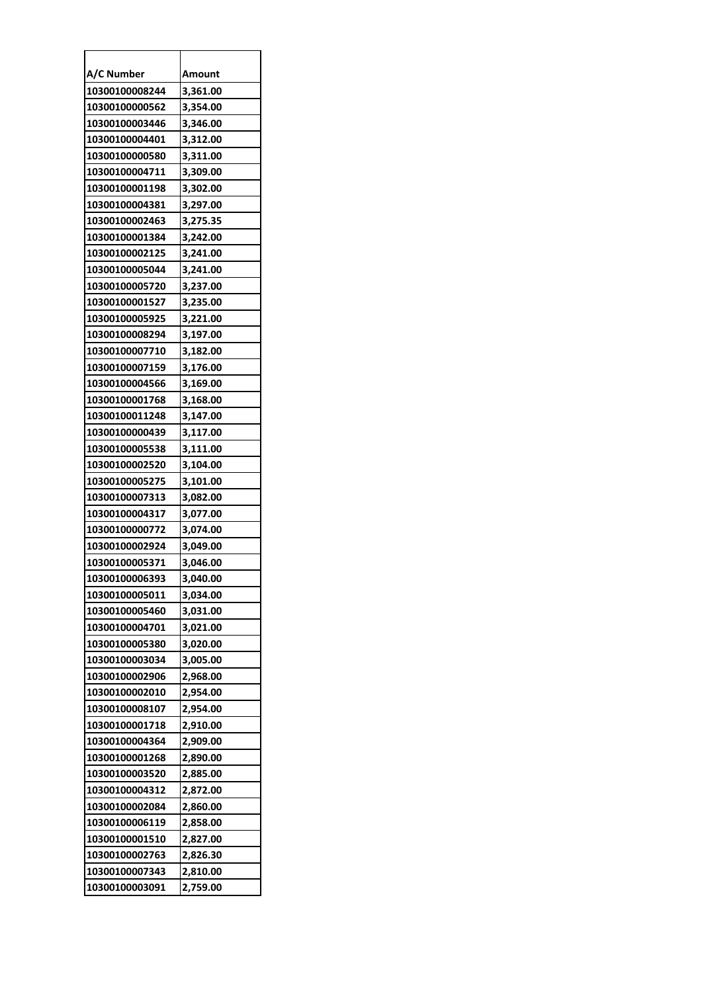| A/C Number     | Amount   |
|----------------|----------|
| 10300100008244 | 3,361.00 |
| 10300100000562 | 3,354.00 |
| 10300100003446 | 3,346.00 |
| 10300100004401 | 3,312.00 |
| 10300100000580 | 3,311.00 |
| 10300100004711 | 3,309.00 |
| 10300100001198 | 3,302.00 |
| 10300100004381 | 3,297.00 |
| 10300100002463 | 3,275.35 |
| 10300100001384 | 3,242.00 |
| 10300100002125 | 3,241.00 |
| 10300100005044 | 3,241.00 |
| 10300100005720 | 3,237.00 |
| 10300100001527 | 3,235.00 |
| 10300100005925 | 3,221.00 |
| 10300100008294 | 3,197.00 |
| 10300100007710 | 3,182.00 |
| 10300100007159 | 3,176.00 |
| 10300100004566 | 3,169.00 |
| 10300100001768 | 3,168.00 |
| 10300100011248 | 3,147.00 |
| 10300100000439 | 3,117.00 |
| 10300100005538 | 3,111.00 |
| 10300100002520 | 3,104.00 |
| 10300100005275 | 3,101.00 |
| 10300100007313 | 3,082.00 |
| 10300100004317 | 3,077.00 |
| 10300100000772 | 3,074.00 |
| 10300100002924 | 3,049.00 |
| 10300100005371 | 3,046.00 |
| 10300100006393 | 3.040.00 |
| 10300100005011 | 3,034.00 |
| 10300100005460 | 3,031.00 |
| 10300100004701 | 3,021.00 |
| 10300100005380 | 3,020.00 |
| 10300100003034 | 3,005.00 |
| 10300100002906 | 2,968.00 |
| 10300100002010 | 2,954.00 |
| 10300100008107 | 2,954.00 |
| 10300100001718 | 2,910.00 |
| 10300100004364 | 2,909.00 |
| 10300100001268 | 2,890.00 |
| 10300100003520 | 2,885.00 |
| 10300100004312 | 2,872.00 |
| 10300100002084 | 2,860.00 |
| 10300100006119 | 2,858.00 |
| 10300100001510 | 2,827.00 |
| 10300100002763 | 2,826.30 |
| 10300100007343 | 2,810.00 |
| 10300100003091 | 2,759.00 |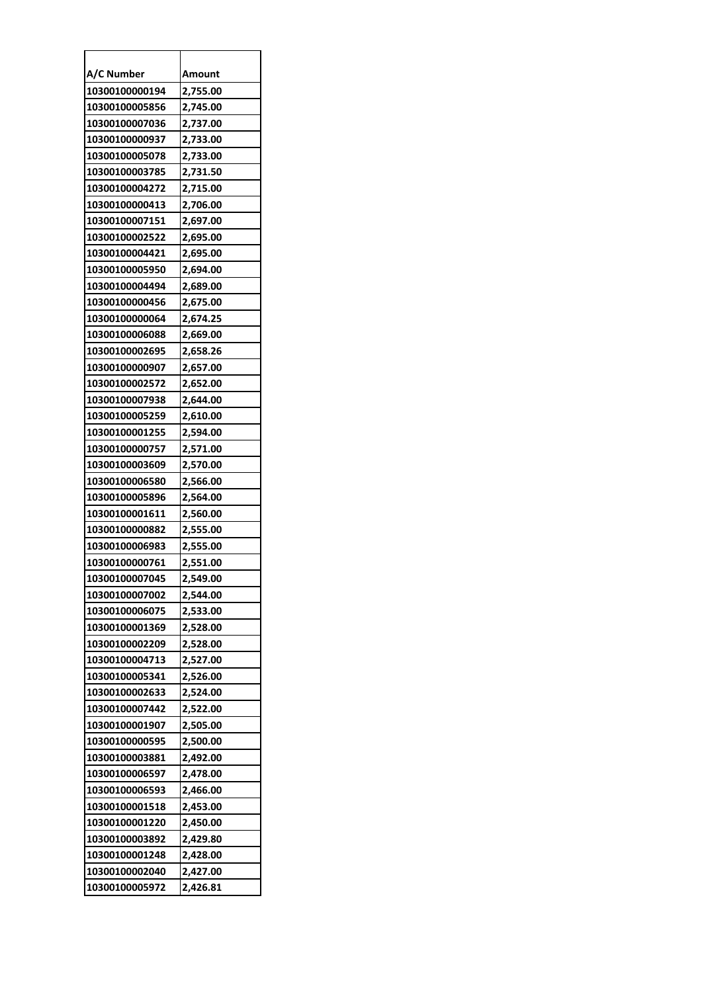| A/C Number     | Amount   |
|----------------|----------|
| 10300100000194 | 2,755.00 |
| 10300100005856 | 2,745.00 |
| 10300100007036 | 2,737.00 |
| 10300100000937 | 2,733.00 |
| 10300100005078 | 2,733.00 |
| 10300100003785 | 2,731.50 |
| 10300100004272 | 2,715.00 |
| 10300100000413 | 2,706.00 |
| 10300100007151 | 2,697.00 |
| 10300100002522 | 2,695.00 |
| 10300100004421 | 2,695.00 |
| 10300100005950 | 2,694.00 |
| 10300100004494 | 2,689.00 |
| 10300100000456 | 2,675.00 |
| 10300100000064 | 2,674.25 |
| 10300100006088 | 2,669.00 |
| 10300100002695 | 2,658.26 |
| 10300100000907 | 2,657.00 |
| 10300100002572 | 2,652.00 |
| 10300100007938 | 2,644.00 |
| 10300100005259 | 2,610.00 |
| 10300100001255 | 2,594.00 |
| 10300100000757 | 2,571.00 |
| 10300100003609 | 2,570.00 |
| 10300100006580 | 2,566.00 |
| 10300100005896 | 2,564.00 |
| 10300100001611 | 2,560.00 |
| 10300100000882 | 2,555.00 |
| 10300100006983 | 2,555.00 |
| 10300100000761 | 2,551.00 |
| 10300100007045 | 2.549.00 |
| 10300100007002 | 2,544.00 |
| 10300100006075 | 2,533.00 |
| 10300100001369 | 2,528.00 |
| 10300100002209 | 2,528.00 |
| 10300100004713 | 2,527.00 |
| 10300100005341 | 2,526.00 |
| 10300100002633 | 2,524.00 |
| 10300100007442 | 2,522.00 |
| 10300100001907 | 2,505.00 |
| 10300100000595 | 2,500.00 |
| 10300100003881 | 2,492.00 |
| 10300100006597 | 2,478.00 |
| 10300100006593 | 2,466.00 |
| 10300100001518 | 2,453.00 |
| 10300100001220 | 2,450.00 |
| 10300100003892 | 2,429.80 |
| 10300100001248 | 2,428.00 |
| 10300100002040 | 2,427.00 |
| 10300100005972 | 2,426.81 |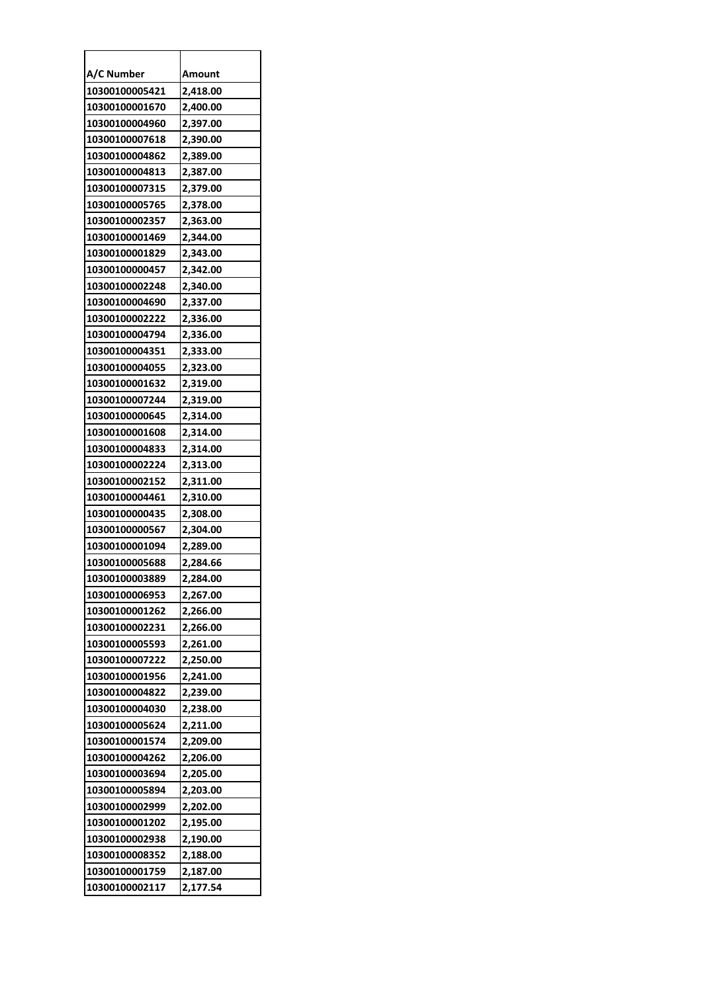| A/C Number     | Amount   |
|----------------|----------|
| 10300100005421 | 2,418.00 |
| 10300100001670 | 2,400.00 |
| 10300100004960 | 2,397.00 |
| 10300100007618 | 2,390.00 |
| 10300100004862 | 2,389.00 |
| 10300100004813 | 2,387.00 |
| 10300100007315 | 2,379.00 |
| 10300100005765 | 2,378.00 |
| 10300100002357 | 2,363.00 |
| 10300100001469 | 2,344.00 |
| 10300100001829 | 2,343.00 |
| 10300100000457 | 2,342.00 |
| 10300100002248 | 2,340.00 |
| 10300100004690 | 2,337.00 |
| 10300100002222 | 2,336.00 |
| 10300100004794 | 2,336.00 |
| 10300100004351 | 2,333.00 |
| 10300100004055 | 2,323.00 |
| 10300100001632 | 2,319.00 |
| 10300100007244 | 2,319.00 |
| 10300100000645 | 2,314.00 |
| 10300100001608 | 2,314.00 |
| 10300100004833 | 2,314.00 |
| 10300100002224 | 2,313.00 |
| 10300100002152 | 2,311.00 |
| 10300100004461 | 2,310.00 |
| 10300100000435 | 2,308.00 |
| 10300100000567 | 2,304.00 |
| 10300100001094 | 2,289.00 |
| 10300100005688 | 2,284.66 |
| 10300100003889 | 2.284.00 |
| 10300100006953 | 2,267.00 |
| 10300100001262 | 2,266.00 |
| 10300100002231 | 2,266.00 |
| 10300100005593 | 2,261.00 |
| 10300100007222 | 2,250.00 |
| 10300100001956 | 2,241.00 |
| 10300100004822 | 2,239.00 |
| 10300100004030 | 2,238.00 |
| 10300100005624 | 2,211.00 |
| 10300100001574 | 2,209.00 |
| 10300100004262 | 2,206.00 |
| 10300100003694 | 2,205.00 |
| 10300100005894 | 2,203.00 |
| 10300100002999 | 2,202.00 |
| 10300100001202 | 2,195.00 |
| 10300100002938 | 2,190.00 |
| 10300100008352 | 2,188.00 |
| 10300100001759 | 2,187.00 |
| 10300100002117 | 2,177.54 |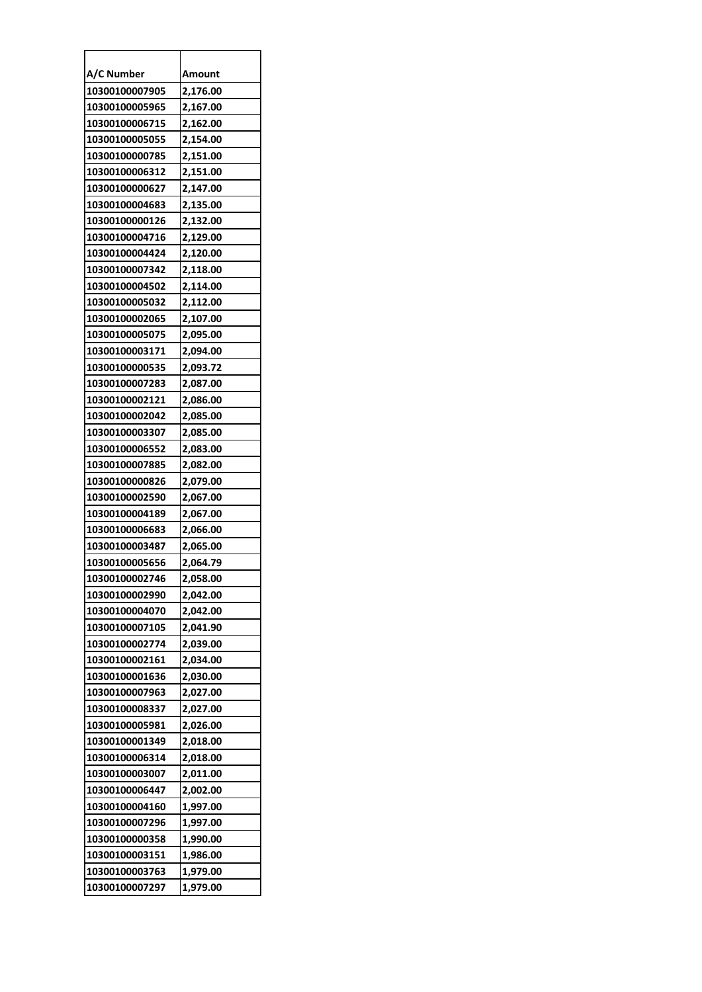| A/C Number     | Amount   |
|----------------|----------|
| 10300100007905 | 2,176.00 |
| 10300100005965 | 2,167.00 |
| 10300100006715 | 2,162.00 |
| 10300100005055 | 2,154.00 |
| 10300100000785 | 2,151.00 |
| 10300100006312 | 2,151.00 |
| 10300100000627 | 2,147.00 |
| 10300100004683 | 2,135.00 |
| 10300100000126 | 2,132.00 |
| 10300100004716 | 2,129.00 |
| 10300100004424 | 2,120.00 |
| 10300100007342 | 2,118.00 |
| 10300100004502 | 2,114.00 |
| 10300100005032 | 2,112.00 |
| 10300100002065 | 2,107.00 |
| 10300100005075 | 2,095.00 |
| 10300100003171 | 2,094.00 |
| 10300100000535 | 2,093.72 |
| 10300100007283 | 2,087.00 |
| 10300100002121 | 2,086.00 |
| 10300100002042 | 2,085.00 |
| 10300100003307 | 2,085.00 |
| 10300100006552 | 2,083.00 |
| 10300100007885 | 2,082.00 |
| 10300100000826 | 2,079.00 |
| 10300100002590 | 2,067.00 |
| 10300100004189 | 2,067.00 |
| 10300100006683 | 2,066.00 |
| 10300100003487 | 2,065.00 |
| 10300100005656 | 2,064.79 |
| 10300100002746 | 2,058.00 |
| 10300100002990 | 2,042.00 |
| 10300100004070 | 2,042.00 |
| 10300100007105 | 2,041.90 |
| 10300100002774 | 2,039.00 |
| 10300100002161 | 2,034.00 |
| 10300100001636 | 2,030.00 |
| 10300100007963 | 2,027.00 |
| 10300100008337 | 2,027.00 |
| 10300100005981 | 2,026.00 |
| 10300100001349 | 2,018.00 |
| 10300100006314 | 2,018.00 |
| 10300100003007 | 2,011.00 |
| 10300100006447 | 2,002.00 |
| 10300100004160 | 1,997.00 |
| 10300100007296 | 1,997.00 |
| 10300100000358 | 1,990.00 |
| 10300100003151 | 1,986.00 |
| 10300100003763 | 1,979.00 |
| 10300100007297 | 1,979.00 |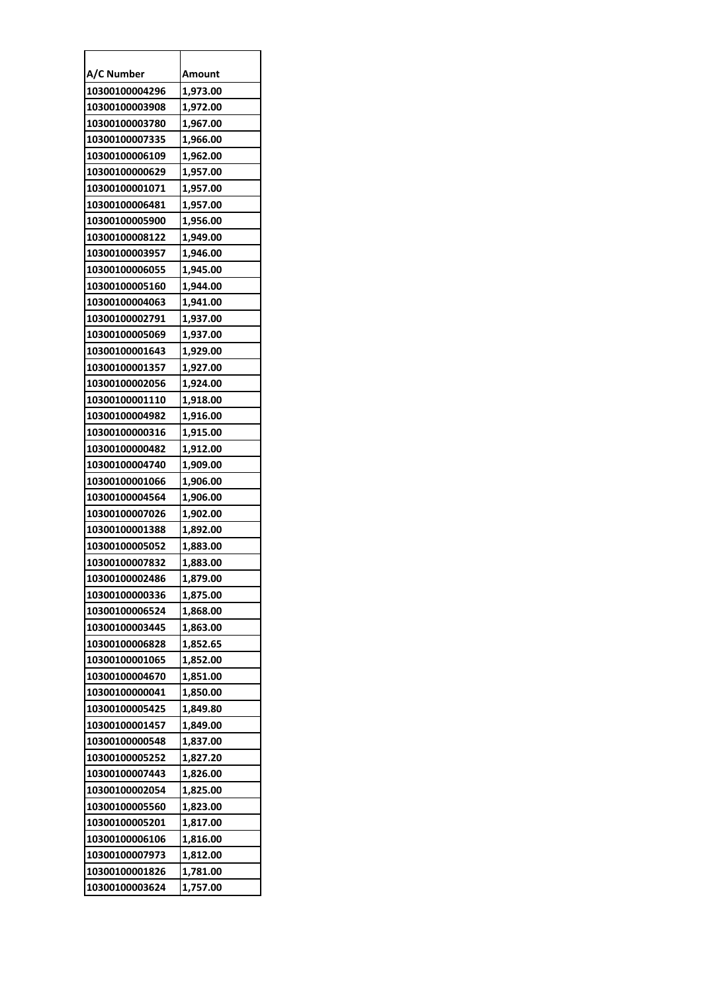| A/C Number     | Amount   |
|----------------|----------|
| 10300100004296 | 1,973.00 |
| 10300100003908 | 1,972.00 |
| 10300100003780 | 1,967.00 |
| 10300100007335 | 1,966.00 |
| 10300100006109 | 1,962.00 |
| 10300100000629 | 1,957.00 |
| 10300100001071 | 1,957.00 |
| 10300100006481 | 1,957.00 |
| 10300100005900 | 1,956.00 |
| 10300100008122 | 1,949.00 |
| 10300100003957 | 1,946.00 |
| 10300100006055 | 1,945.00 |
| 10300100005160 | 1,944.00 |
| 10300100004063 | 1,941.00 |
| 10300100002791 | 1,937.00 |
| 10300100005069 | 1,937.00 |
| 10300100001643 | 1,929.00 |
| 10300100001357 | 1,927.00 |
| 10300100002056 | 1,924.00 |
| 10300100001110 | 1,918.00 |
| 10300100004982 | 1,916.00 |
| 10300100000316 | 1,915.00 |
| 10300100000482 | 1,912.00 |
| 10300100004740 | 1,909.00 |
| 10300100001066 | 1,906.00 |
| 10300100004564 | 1,906.00 |
| 10300100007026 | 1,902.00 |
| 10300100001388 | 1,892.00 |
| 10300100005052 | 1,883.00 |
| 10300100007832 | 1,883.00 |
| 10300100002486 | 1,879.00 |
| 10300100000336 | 1,875.00 |
| 10300100006524 | 1,868.00 |
| 10300100003445 | 1,863.00 |
| 10300100006828 | 1,852.65 |
| 10300100001065 | 1,852.00 |
| 10300100004670 | 1,851.00 |
| 10300100000041 | 1,850.00 |
| 10300100005425 | 1,849.80 |
| 10300100001457 | 1,849.00 |
| 10300100000548 | 1,837.00 |
| 10300100005252 | 1,827.20 |
| 10300100007443 | 1,826.00 |
| 10300100002054 | 1,825.00 |
| 10300100005560 | 1,823.00 |
| 10300100005201 | 1,817.00 |
| 10300100006106 | 1,816.00 |
| 10300100007973 | 1,812.00 |
| 10300100001826 | 1,781.00 |
| 10300100003624 | 1,757.00 |